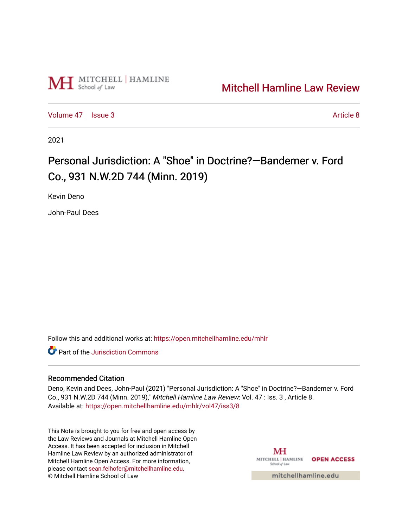

# [Mitchell Hamline Law Review](https://open.mitchellhamline.edu/mhlr)

[Volume 47](https://open.mitchellhamline.edu/mhlr/vol47) | [Issue 3](https://open.mitchellhamline.edu/mhlr/vol47/iss3) Article 8

2021

# Personal Jurisdiction: A "Shoe" in Doctrine?—Bandemer v. Ford Co., 931 N.W.2D 744 (Minn. 2019)

Kevin Deno

John-Paul Dees

Follow this and additional works at: [https://open.mitchellhamline.edu/mhlr](https://open.mitchellhamline.edu/mhlr?utm_source=open.mitchellhamline.edu%2Fmhlr%2Fvol47%2Fiss3%2F8&utm_medium=PDF&utm_campaign=PDFCoverPages) 

**C** Part of the Jurisdiction Commons

# Recommended Citation

Deno, Kevin and Dees, John-Paul (2021) "Personal Jurisdiction: A "Shoe" in Doctrine?—Bandemer v. Ford Co., 931 N.W.2D 744 (Minn. 2019)," Mitchell Hamline Law Review: Vol. 47 : Iss. 3 , Article 8. Available at: [https://open.mitchellhamline.edu/mhlr/vol47/iss3/8](https://open.mitchellhamline.edu/mhlr/vol47/iss3/8?utm_source=open.mitchellhamline.edu%2Fmhlr%2Fvol47%2Fiss3%2F8&utm_medium=PDF&utm_campaign=PDFCoverPages) 

This Note is brought to you for free and open access by the Law Reviews and Journals at Mitchell Hamline Open Access. It has been accepted for inclusion in Mitchell Hamline Law Review by an authorized administrator of Mitchell Hamline Open Access. For more information, please contact [sean.felhofer@mitchellhamline.edu.](mailto:sean.felhofer@mitchellhamline.edu) © Mitchell Hamline School of Law

MH MITCHELL | HAMLINE OPEN ACCESS School of Law

mitchellhamline.edu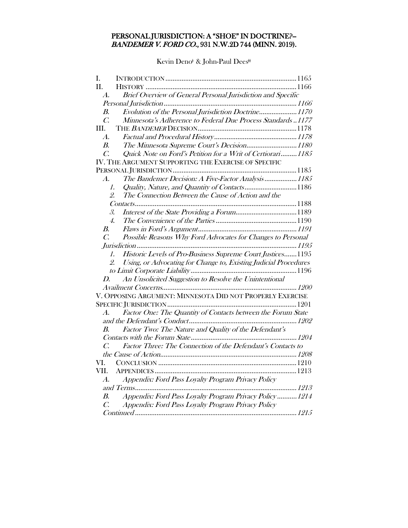# PERSONAL JURISDICTION: A "SHOE" IN DOCTRINE?-- BANDEMER V. FORD CO., 931 N.W.2D 744 (MINN. 2019).

Kevin Deno<sup>‡</sup> & John-Paul Dees<sup>#</sup>

| L.                       |                                                                                |  |
|--------------------------|--------------------------------------------------------------------------------|--|
| II.                      |                                                                                |  |
| $\boldsymbol{\Lambda}$ . | Brief Overview of General Personal Jurisdiction and Specific                   |  |
|                          |                                                                                |  |
| В.                       | Evolution of the Personal Jurisdiction Doctrine1170                            |  |
| $\mathcal{C}$            | Minnesota's Adherence to Federal Due Process Standards 1177                    |  |
| III.                     |                                                                                |  |
| $\boldsymbol{A}$ .       |                                                                                |  |
| В.                       | The Minnesota Supreme Court's Decision1180                                     |  |
| $\overline{C}$ .         | Quick Note on Ford's Petition for a Writ of Certiorari1185                     |  |
|                          | IV. THE ARGUMENT SUPPORTING THE EXERCISE OF SPECIFIC                           |  |
|                          |                                                                                |  |
| $\boldsymbol{A}$ .       | The Bandemer Decision: A Five-Factor Analysis  1185                            |  |
|                          | Quality, Nature, and Quantity of Contacts1186<br>1.                            |  |
| 2.                       | The Connection Between the Cause of Action and the                             |  |
|                          |                                                                                |  |
| 3.                       |                                                                                |  |
|                          | 4.                                                                             |  |
| В.                       |                                                                                |  |
| $\overline{C}$ .         | Possible Reasons Why Ford Advocates for Changes to Personal                    |  |
|                          |                                                                                |  |
|                          | Historic Levels of Pro-Business Supreme Court Justices 1195<br>$\mathcal{I}$ . |  |
|                          | Using, or Advocating for Change to, Existing Judicial Procedures<br>2.         |  |
|                          |                                                                                |  |
| D.                       | An Unsolicited Suggestion to Resolve the Unintentional                         |  |
|                          |                                                                                |  |
|                          | V. OPPOSING ARGUMENT: MINNESOTA DID NOT PROPERLY EXERCISE                      |  |
|                          |                                                                                |  |
| $\mathcal{A}.$           | Factor One: The Quantity of Contacts between the Forum State                   |  |
|                          |                                                                                |  |
| B.                       | Factor Two: The Nature and Quality of the Defendant's                          |  |
|                          |                                                                                |  |
| $\mathcal{C}$            | Factor Three: The Connection of the Defendant's Contacts to                    |  |
|                          |                                                                                |  |
| VI.                      |                                                                                |  |
| VII.                     |                                                                                |  |
| $\mathcal{A}.$           | Appendix: Ford Pass Loyalty Program Privacy Policy                             |  |
|                          |                                                                                |  |
| $\boldsymbol{B}$         | Appendix: Ford Pass Loyalty Program Privacy Policy  1214                       |  |
| $\overline{C}$ .         | Appendix: Ford Pass Loyalty Program Privacy Policy                             |  |
|                          |                                                                                |  |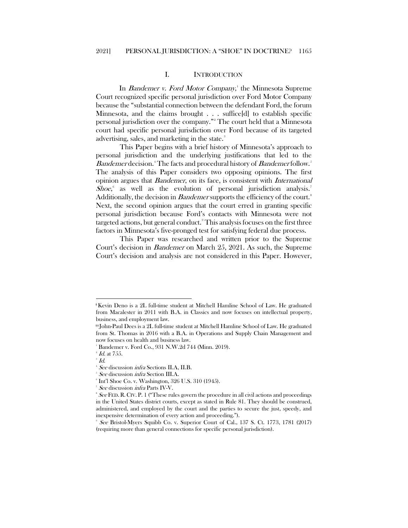## I. INTRODUCTION

<span id="page-2-0"></span>In *Bandemer v. Ford Motor Company*,<sup>[1](#page-2-1)</sup> the Minnesota Supreme Court recognized specific personal jurisdiction over Ford Motor Company because the "substantial connection between the defendant Ford, the forum Minnesota, and the claims brought . . . suffice[d] to establish specific personal jurisdiction over the company."[2](#page-2-2) The court held that a Minnesota court had specific personal jurisdiction over Ford because of its targeted advertising, sales, and marketing in the state.<sup>[3](#page-2-3)</sup>

This Paper begins with a brief history of Minnesota's approach to personal jurisdiction and the underlying justifications that led to the Bandemer decision.<sup>[4](#page-2-4)</sup> The facts and procedural history of Bandemer follow.<sup>[5](#page-2-5)</sup> The analysis of this Paper considers two opposing opinions. The first opinion argues that Bandemer, on its face, is consistent with International Shoe, as well as the evolution of personal jurisdiction analysis.<sup>[7](#page-2-7)</sup> Additionally, the decision in *Bandemer* supports the efficiency of the court.<sup>[8](#page-2-8)</sup> Next, the second opinion argues that the court erred in granting specific personal jurisdiction because Ford's contacts with Minnesota were not targeted actions, but general conduct.[9](#page-2-9) This analysis focuses on the first three factors in Minnesota's five-pronged test for satisfying federal due process.

This Paper was researched and written prior to the Supreme Court's decision in Bandemer on March 25, 2021. As such, the Supreme Court's decision and analysis are not considered in this Paper. However,

<span id="page-2-1"></span><sup>ǂ</sup>Kevin Deno is a 2L full-time student at Mitchell Hamline School of Law. He graduated from Macalester in 2011 with B.A. in Classics and now focuses on intellectual property, business, and employment law.

ǂǂJohn-Paul Dees is a 2L full-time student at Mitchell Hamline School of Law. He graduated from St. Thomas in 2016 with a B.A. in Operations and Supply Chain Management and now focuses on health and business law.

<sup>1</sup> Bandemer v. Ford Co., 931 N.W.2d 744 (Minn. 2019).

<span id="page-2-3"></span><span id="page-2-2"></span> $^{\circ}$  *Id.* at 755.

 $\frac{1}{4}$   $\frac{d}{2}$ 

<span id="page-2-4"></span><sup>&</sup>lt;sup>4</sup> See discussion *infra* Sections II.A, II.B.

<sup>&</sup>lt;sup>5</sup> See discussion *infra* Section III.A.

<span id="page-2-6"></span><span id="page-2-5"></span><sup>6</sup> Int'l Shoe Co. v. Washington, 326 U.S. 310 (1945).

<sup>&</sup>lt;sup>7</sup> See discussion *infra* Parts IV-V.<br><sup>8</sup> See FED B. CHI B. 1 ("There m<sup>1</sup>

<span id="page-2-8"></span><span id="page-2-7"></span> $See$  FED. R. CIV. P. 1 ("These rules govern the procedure in all civil actions and proceedings in the United States district courts, except as stated in Rule 81. They should be construed, administered, and employed by the court and the parties to secure the just, speedy, and inexpensive determination of every action and proceeding.").

<span id="page-2-9"></span><sup>9</sup> See Bristol-Myers Squibb Co. v. Superior Court of Cal., 137 S. Ct. 1773, 1781 (2017) (requiring more than general connections for specific personal jurisdiction).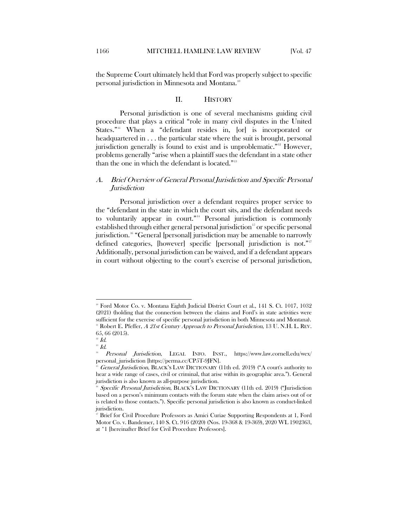<span id="page-3-0"></span>the Supreme Court ultimately held that Ford was properly subject to specific personal jurisdiction in Minnesota and Montana.<sup>[10](#page-3-2)</sup>

# <span id="page-3-10"></span>II. HISTORY

<span id="page-3-11"></span>Personal jurisdiction is one of several mechanisms guiding civil procedure that plays a critical "role in many civil disputes in the United States."<sup>[11](#page-3-3)</sup> When a "defendant resides in, [or] is incorporated or headquartered in . . . the particular state where the suit is brought, personal jurisdiction generally is found to exist and is unproblematic."[12](#page-3-4) However, problems generally "arise when a plaintiff sues the defendant in a state other than the one in which the defendant is located."<sup>[13](#page-3-5)</sup>

# <span id="page-3-1"></span>A. Brief Overview of General Personal Jurisdiction and Specific Personal Jurisdiction

Personal jurisdiction over a defendant requires proper service to the "defendant in the state in which the court sits, and the defendant needs to voluntarily appear in court."<sup>[14](#page-3-6)</sup> Personal jurisdiction is commonly established through either general personal jurisdiction<sup>15</sup> or specific personal jurisdiction.<sup>[16](#page-3-8)</sup> "General [personal] jurisdiction may be amenable to narrowly defined categories, [however] specific [personal] jurisdiction is not."<sup>[17](#page-3-9)</sup> Additionally, personal jurisdiction can be waived, and if a defendant appears in court without objecting to the court's exercise of personal jurisdiction,

<span id="page-3-2"></span><sup>10</sup> Ford Motor Co. v. Montana Eighth Judicial District Court et al., 141 S. Ct. 1017, 1032 (2021) (holding that the connection between the claims and Ford's in state activities were sufficient for the exercise of specific personal jurisdiction in both Minnesota and Montana). Robert E. Pfeffer, A 21st Century Approach to Personal Jurisdiction, 13 U. N.H. L. REV. 65, 66 (2015).

<span id="page-3-3"></span> $12$  *Id.* 

<span id="page-3-5"></span><span id="page-3-4"></span> $13$  Id.

<span id="page-3-6"></span><sup>14</sup> Personal Jurisdiction, LEGAL INFO. INST., <https://www.law.cornell.edu/wex/> personal\_jurisdiction [https://perma.cc/CP5T-9JFN].

<span id="page-3-7"></span>General Jurisdiction, BLACK'S LAW DICTIONARY (11th ed. 2019) ("A court's authority to hear a wide range of cases, civil or criminal, that arise within its geographic area."). General jurisdiction is also known as all-purpose jurisdiction.

<span id="page-3-8"></span>Specific Personal Jurisdiction, BLACK'S LAW DICTIONARY (11th ed. 2019) ("Jurisdiction based on a person's minimum contacts with the forum state when the claim arises out of or is related to those contacts."). Specific personal jurisdiction is also known as conduct-linked jurisdiction.

<span id="page-3-9"></span><sup>17</sup> Brief for Civil Procedure Professors as Amici Curiae Supporting Respondents at 1, Ford Motor Co. v. Bandemer, 140 S. Ct. 916 (2020) (Nos. 19-368 & 19-369), 2020 WL 1902363, at \*1 [hereinafter Brief for Civil Procedure Professors].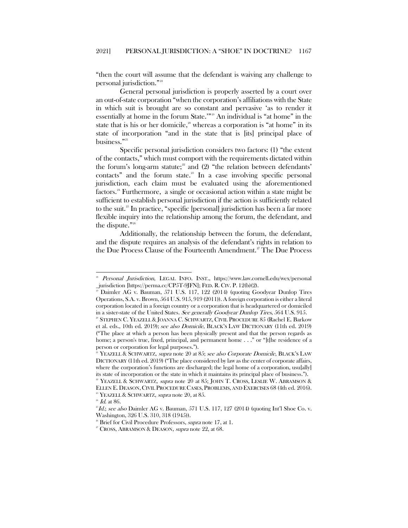"then the court will assume that the defendant is waiving any challenge to personal jurisdiction."[18](#page-4-2)

General personal jurisdiction is properly asserted by a court over an out-of-state corporation "when the corporation's affiliations with the State in which suit is brought are so constant and pervasive 'as to render it essentially at home in the forum State.'"[19](#page-4-3) An individual is "at home" in the state that is his or her domicile,<sup> $20$ </sup> whereas a corporation is "at home" in its state of incorporation "and in the state that is [its] principal place of business."[21](#page-4-5)

<span id="page-4-1"></span><span id="page-4-0"></span>Specific personal jurisdiction considers two factors: (1) "the extent of the contacts," which must comport with the requirements dictated within the forum's long-arm statute; $2^2$  and (2) "the relation between defendants' contacts" and the forum state. $^{28}$  In a case involving specific personal jurisdiction, each claim must be evaluated using the aforementioned factors.[24](#page-4-8) Furthermore, a single or occasional action within a state might be sufficient to establish personal jurisdiction if the action is sufficiently related to the suit.<sup>[25](#page-4-9)</sup> In practice, "specific [personal] jurisdiction has been a far more flexible inquiry into the relationship among the forum, the defendant, and the dispute."[26](#page-4-10)

Additionally, the relationship between the forum, the defendant, and the dispute requires an analysis of the defendant's rights in relation to the Due Process Clause of the Fourteenth Amendment.<sup>[27](#page-4-11)</sup> The Due Process

Personal Jurisdiction, LEGAL INFO. INST., <https://www.law.cornell.edu/wex/personal> \_jurisdiction [https://perma.cc/CP5T-9JFN]; FED. R. CIV. P. 12(b)(2).

<span id="page-4-3"></span><span id="page-4-2"></span><sup>19</sup> Daimler AG v. Bauman, 571 U.S. 117, 122 (2014) (quoting Goodyear Dunlop Tires Operations, S.A. v. Brown, 564 U.S. 915, 919 (2011)). A foreign corporation is either a literal corporation located in a foreign country or a corporation that is headquartered or domiciled in a sister-state of the United States. See generally Goodyear Dunlop Tires, 564 U.S. 915.

<span id="page-4-4"></span><sup>20</sup> STEPHEN C. YEAZELL & JOANNA C. SCHWARTZ, CIVIL PROCEDURE 85 (Rachel E. Barkow et al. eds., 10th ed. 2019); see also Domicile, BLACK'S LAW DICTIONARY (11th ed. 2019) ("The place at which a person has been physically present and that the person regards as home; a person's true, fixed, principal, and permanent home . . ." or "[t]he residence of a person or corporation for legal purposes.").

<span id="page-4-5"></span>YEAZELL & SCHWARTZ, supra note [20](#page-4-0) at 85; see also Corporate Domicile, BLACK'S LAW DICTIONARY (11th ed. 2019) ("The place considered by law as the center of corporate affairs, where the corporation's functions are discharged; the legal home of a corporation, usu[ally] its state of incorporation or the state in which it maintains its principal place of business.").

<span id="page-4-6"></span> $2^2$  YEAZELL & SCHWARTZ, *supra* note [20](#page-4-0) at 85; JOHN T. CROSS, LESLIE W. ABRAMSON & ELLEN E. DEASON,CIVIL PROCEDURE CASES, PROBLEMS, AND EXERCISES 68 (4th ed. 2016). <sup>23</sup> YEAZELL & SCHWARTZ, *supra* not[e 20,](#page-4-0) at 85.

<span id="page-4-8"></span><span id="page-4-7"></span> $^{24}$  *Id.* at 86.

<span id="page-4-9"></span> $^{25}Id$ ; see also Daimler AG v. Bauman, 571 U.S. 117, 127 (2014) (quoting Int'l Shoe Co. v. Washington, 326 U.S. 310, 318 (1945)).

<span id="page-4-11"></span><span id="page-4-10"></span><sup>&</sup>lt;sup>26</sup> Brief for Civil Procedure Professors, *supra* not[e 17,](#page-3-10) at 1.

 $2^x$  Cross, ABRAMSON & DEASON, supra note [22,](#page-4-1) at 68.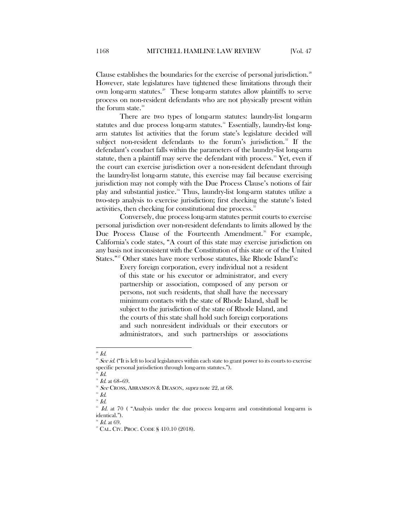Clause establishes the boundaries for the exercise of personal jurisdiction.<sup>[28](#page-5-0)</sup> However, state legislatures have tightened these limitations through their own long-arm statutes.<sup>[29](#page-5-1)</sup> These long-arm statutes allow plaintiffs to serve process on non-resident defendants who are not physically present within the forum state.<sup>30</sup>

There are two types of long-arm statutes: laundry-list long-arm statutes and due process long-arm statutes.<sup>[31](#page-5-3)</sup> Essentially, laundry-list longarm statutes list activities that the forum state's legislature decided will subject non-resident defendants to the forum's jurisdiction.<sup>[32](#page-5-4)</sup> If the defendant's conduct falls within the parameters of the laundry-list long-arm statute, then a plaintiff may serve the defendant with process.<sup>[33](#page-5-5)</sup> Yet, even if the court can exercise jurisdiction over a non-resident defendant through the laundry-list long-arm statute, this exercise may fail because exercising jurisdiction may not comply with the Due Process Clause's notions of fair play and substantial justice.[34](#page-5-6) Thus, laundry-list long-arm statutes utilize a two-step analysis to exercise jurisdiction; first checking the statute's listed activities, then checking for constitutional due process.<sup>[35](#page-5-7)</sup>

Conversely, due process long-arm statutes permit courts to exercise personal jurisdiction over non-resident defendants to limits allowed by the Due Process Clause of the Fourteenth Amendment.<sup>[36](#page-5-8)</sup> For example, California's code states, "A court of this state may exercise jurisdiction on any basis not inconsistent with the Constitution of this state or of the United States."<sup>[37](#page-5-9)</sup> Other states have more verbose statutes, like Rhode Island's:

> Every foreign corporation, every individual not a resident of this state or his executor or administrator, and every partnership or association, composed of any person or persons, not such residents, that shall have the necessary minimum contacts with the state of Rhode Island, shall be subject to the jurisdiction of the state of Rhode Island, and the courts of this state shall hold such foreign corporations and such nonresident individuals or their executors or administrators, and such partnerships or associations

<span id="page-5-0"></span> $\overline{a}$  $^{\mathrm{28}}$  Id.

<span id="page-5-1"></span><sup>&</sup>lt;sup>29</sup> See id. ("It is left to local legislatures within each state to grant power to its courts to exercise specific personal jurisdiction through long-arm statutes.").

<span id="page-5-2"></span><sup>30</sup> Id.

<span id="page-5-3"></span> $^{31}$   $\emph{Id.}$  at 68–69.

<sup>&</sup>lt;sup>32</sup> See CROSS, ABRAMSON & DEASON, supra not[e 22,](#page-4-1) at 68.

<span id="page-5-5"></span><span id="page-5-4"></span> $33$   $Id.$ 

 $^{34}$  Id.

<span id="page-5-7"></span><span id="page-5-6"></span> $35$  Id. at 70 ( "Analysis under the due process long-arm and constitutional long-arm is identical.").

<span id="page-5-9"></span><span id="page-5-8"></span> $\mathscr{I}$  Id. at 69.

<sup>37</sup> CAL. CIV. PROC. CODE § 410.10 (2018).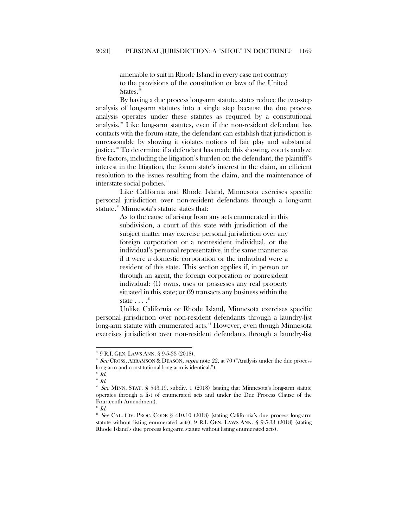amenable to suit in Rhode Island in every case not contrary to the provisions of the constitution or laws of the United States.<sup>[38](#page-6-0)</sup>

By having a due process long-arm statute, states reduce the two-step analysis of long-arm statutes into a single step because the due process analysis operates under these statutes as required by a constitutional analysis.[39](#page-6-1) Like long-arm statutes, even if the non-resident defendant has contacts with the forum state, the defendant can establish that jurisdiction is unreasonable by showing it violates notions of fair play and substantial justice.<sup>[40](#page-6-2)</sup> To determine if a defendant has made this showing, courts analyze five factors, including the litigation's burden on the defendant, the plaintiff's interest in the litigation, the forum state's interest in the claim, an efficient resolution to the issues resulting from the claim, and the maintenance of interstate social policies.<sup>[41](#page-6-3)</sup>

Like California and Rhode Island, Minnesota exercises specific personal jurisdiction over non-resident defendants through a long-arm statute.<sup>[42](#page-6-4)</sup> Minnesota's statute states that:

> As to the cause of arising from any acts enumerated in this subdivision, a court of this state with jurisdiction of the subject matter may exercise personal jurisdiction over any foreign corporation or a nonresident individual, or the individual's personal representative, in the same manner as if it were a domestic corporation or the individual were a resident of this state. This section applies if, in person or through an agent, the foreign corporation or nonresident individual: (1) owns, uses or possesses any real property situated in this state; or (2) transacts any business within the state  $\ldots$ <sup>[43](#page-6-5)</sup>

Unlike California or Rhode Island, Minnesota exercises specific personal jurisdiction over non-resident defendants through a laundry-list long-arm statute with enumerated acts.<sup>[44](#page-6-6)</sup> However, even though Minnesota exercises jurisdiction over non-resident defendants through a laundry-list

 $\overline{a}$ 

 $\mathbf{H}$   $Id.$ 

<span id="page-6-0"></span><sup>38</sup> 9 R.I. GEN. LAWS ANN. § 9-5-33 (2018).

<span id="page-6-1"></span><sup>&</sup>lt;sup>39</sup> See CROSS, ABRAMSON & DEASON, *supra* note [22,](#page-4-1) at 70 ("Analysis under the due process") long-arm and constitutional long-arm is identical.").

<span id="page-6-2"></span> $^\text{\tiny{\textregistered}}$   $Id.$  $41$  Id.

<span id="page-6-4"></span><span id="page-6-3"></span><sup>&</sup>lt;sup>2</sup> See MINN. STAT. § 543.19, subdiv. 1 (2018) (stating that Minnesota's long-arm statute operates through a list of enumerated acts and under the Due Process Clause of the Fourteenth Amendment).

<span id="page-6-6"></span><span id="page-6-5"></span><sup>&</sup>lt;sup>44</sup> See CAL. CIV. PROC. CODE § 410.10 (2018) (stating California's due process long-arm statute without listing enumerated acts); 9 R.I. GEN. LAWS ANN. § 9-5-33 (2018) (stating Rhode Island's due process long-arm statute without listing enumerated acts).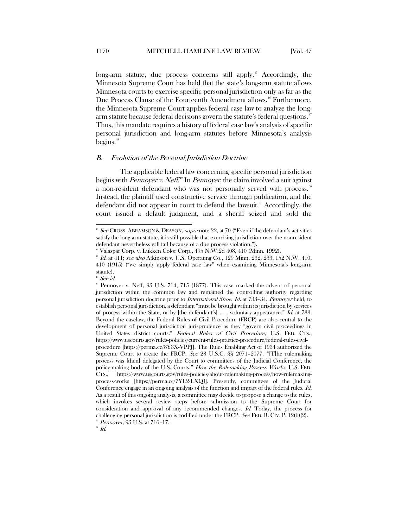long-arm statute, due process concerns still apply.<sup>[45](#page-7-1)</sup> Accordingly, the Minnesota Supreme Court has held that the state's long-arm statute allows Minnesota courts to exercise specific personal jurisdiction only as far as the Due Process Clause of the Fourteenth Amendment allows.<sup>[46](#page-7-2)</sup> Furthermore, the Minnesota Supreme Court applies federal case law to analyze the long-arm statute because federal decisions govern the statute's federal questions.<sup>[47](#page-7-3)</sup> Thus, this mandate requires a history of federal case law's analysis of specific personal jurisdiction and long-arm statutes before Minnesota's analysis begins.<sup>[48](#page-7-4)</sup>

#### <span id="page-7-0"></span>B. Evolution of the Personal Jurisdiction Doctrine

The applicable federal law concerning specific personal jurisdiction begins with *Pennoyer v. Neff*.<sup>6</sup> In *Pennoyer*, the claim involved a suit against a non-resident defendant who was not personally served with process.<sup>[50](#page-7-6)</sup> Instead, the plaintiff used constructive service through publication, and the defendant did not appear in court to defend the lawsuit.<sup>[51](#page-7-7)</sup> Accordingly, the court issued a default judgment, and a sheriff seized and sold the

 $\overline{a}$ 

<span id="page-7-7"></span><span id="page-7-6"></span><sup>50</sup> Pennoyer, 95 U.S. at 716-17.

<span id="page-7-1"></span> $45$  See CROSS, ABRAMSON & DEASON, supra not[e 22,](#page-4-1) at 70 ("Even if the defendant's activities satisfy the long-arm statute, it is still possible that exercising jurisdiction over the nonresident defendant nevertheless will fail because of a due process violation.").

<span id="page-7-3"></span><span id="page-7-2"></span><sup>46</sup> Valaspar Corp. v. Lukken Color Corp., 495 N.W.2d 408, 410 (Minn. 1992).

 $^{47}$  Id. at 411; see also Atkinson v. U.S. Operating Co., 129 Minn. 232, 233, 152 N.W. 410, 410 (1915) ("we simply apply federal case law" when examining Minnesota's long-arm statute).

 $8$  See id.

<span id="page-7-5"></span><span id="page-7-4"></span> $P$  Pennoyer v. Neff, 95 U.S. 714, 715 (1877). This case marked the advent of personal jurisdiction within the common law and remained the controlling authority regarding personal jurisdiction doctrine prior to International Shoe. Id. at 733–34. Pennoyer held, to establish personal jurisdiction, a defendant "must be brought within its jurisdiction by services of process within the State, or by [the defendant's] . . . voluntary appearance." Id. at 733. Beyond the caselaw, the Federal Rules of Civil Procedure (FRCP) are also central to the development of personal jurisdiction jurisprudence as they "govern civil proceedings in United States district courts." Federal Rules of Civil Procedure, U.S. FED. CTS., https://www.uscourts.gov/rules-policies/current-rules-practice-procedure/federal-rules-civilprocedure [https://perma.cc/8Y3X-VPPJ]. The Rules Enabling Act of 1934 authorized the Supreme Court to create the FRCP. See 28 U.S.C. §§ 2071–2077. "[T]he rulemaking process was [then] delegated by the Court to committees of the Judicial Conference, the policy-making body of the U.S. Courts." How the Rulemaking Process Works, U.S. FED. CTS., https://www.uscourts.gov/rules-policies/about-rulemaking-process/how-rulemakingprocess-works [https://perma.cc/7YL2-LXQJ]. Presently, committees of the Judicial Conference engage in an ongoing analysis of the function and impact of the federal rules. Id. As a result of this ongoing analysis, a committee may decide to propose a change to the rules, which invokes several review steps before submission to the Supreme Court for consideration and approval of any recommended changes. Id. Today, the process for challenging personal jurisdiction is codified under the FRCP. See FED. R. CIV. P. 12(b)(2).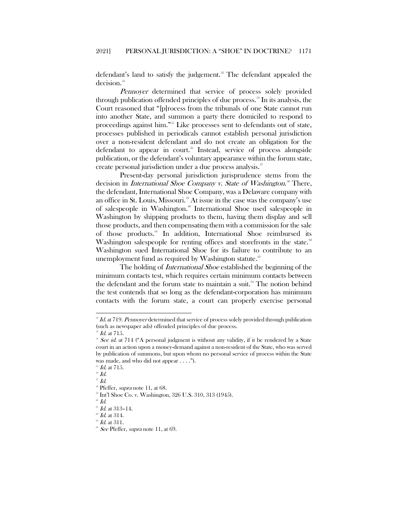defendant's land to satisfy the judgement.<sup>[52](#page-8-0)</sup> The defendant appealed the decision. [53](#page-8-1)

Pennoyer determined that service of process solely provided through publication offended principles of due process.<sup>[54](#page-8-2)</sup> In its analysis, the Court reasoned that "[p]rocess from the tribunals of one State cannot run into another State, and summon a party there domiciled to respond to proceedings against him."<sup>[55](#page-8-3)</sup> Like processes sent to defendants out of state, processes published in periodicals cannot establish personal jurisdiction over a non-resident defendant and do not create an obligation for the defendant to appear in court.<sup>[56](#page-8-4)</sup> Instead, service of process alongside publication, or the defendant's voluntary appearance within the forum state, create personal jurisdiction under a due process analysis.<sup>[57](#page-8-5)</sup>

Present-day personal jurisdiction jurisprudence stems from the decision in *International Shoe Company v. State of Washington*.<sup>38</sup> There, the defendant, International Shoe Company, was a Delaware company with an office in St. Louis, Missouri.<sup>[59](#page-8-7)</sup> At issue in the case was the company's use of salespeople in Washington.<sup>[60](#page-8-8)</sup> International Shoe used salespeople in Washington by shipping products to them, having them display and sell those products, and then compensating them with a commission for the sale of those products.[61](#page-8-9) In addition, International Shoe reimbursed its Washington salespeople for renting offices and storefronts in the state.<sup>[62](#page-8-10)</sup> Washington sued International Shoe for its failure to contribute to an unemployment fund as required by Washington statute. $63$ 

The holding of *International Shoe* established the beginning of the minimum contacts test, which requires certain minimum contacts between the defendant and the forum state to maintain a suit.<sup>[64](#page-8-12)</sup> The notion behind the test contends that so long as the defendant-corporation has minimum contacts with the forum state, a court can properly exercise personal

<span id="page-8-0"></span><sup>&</sup>lt;sup>32</sup> Id. at 719. Pennoyer determined that service of process solely provided through publication (such as newspaper ads) offended principles of due process.

 $53$  Id. at 71.5.

<span id="page-8-2"></span><span id="page-8-1"></span><sup>&</sup>lt;sup>54</sup> See id. at 714 ( $A$  personal judgment is without any validity, if it be rendered by a State court in an action upon a money-demand against a non-resident of the State, who was served by publication of summons, but upon whom no personal service of process within the State was made, and who did not appear . . . .").

<span id="page-8-3"></span> $55$  Id. at 715.

<span id="page-8-4"></span> $^{56}$   $\emph{Id.}$ 

<span id="page-8-5"></span> $J\!\!Z$   $I\!\!d$ .

<sup>&</sup>lt;sup>38</sup> Pfeffer, *supra* note [11,](#page-3-11) at 68.

<span id="page-8-7"></span><span id="page-8-6"></span><sup>59</sup> Int'l Shoe Co. v. Washington, 326 U.S. 310, 313 (1945).

<span id="page-8-8"></span> $\overline{d}$ 

 $61$  Id. at 313-14.

<span id="page-8-9"></span> $^{\circ\circ}$  Id. at 314.

<span id="page-8-12"></span><span id="page-8-11"></span><span id="page-8-10"></span> $^{\circ\circ}$  Id. at 311.

 $64$  See Pfeffer, supra note [11,](#page-3-11) at 69.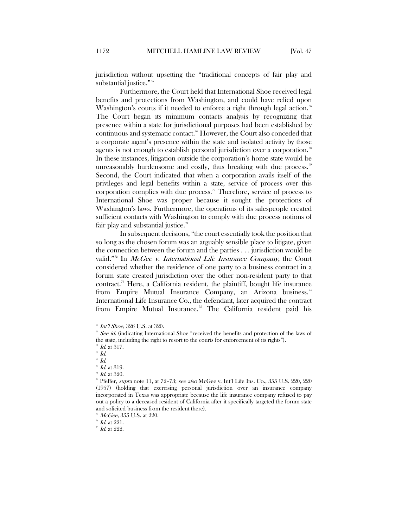jurisdiction without upsetting the "traditional concepts of fair play and substantial justice."<sup>65</sup>

Furthermore, the Court held that International Shoe received legal benefits and protections from Washington, and could have relied upon Washington's courts if it needed to enforce a right through legal action.<sup>[66](#page-9-1)</sup> The Court began its minimum contacts analysis by recognizing that presence within a state for jurisdictional purposes had been established by continuous and systematic contact.<sup>[67](#page-9-2)</sup> However, the Court also conceded that a corporate agent's presence within the state and isolated activity by those agents is not enough to establish personal jurisdiction over a corporation." In these instances, litigation outside the corporation's home state would be unreasonably burdensome and costly, thus breaking with due process.<sup> $\omega$ </sup> Second, the Court indicated that when a corporation avails itself of the privileges and legal benefits within a state, service of process over this corporation complies with due process.<sup>[70](#page-9-5)</sup> Therefore, service of process to International Shoe was proper because it sought the protections of Washington's laws. Furthermore, the operations of its salespeople created sufficient contacts with Washington to comply with due process notions of fair play and substantial justice.<sup>[71](#page-9-6)</sup>

In subsequent decisions, "the court essentially took the position that so long as the chosen forum was an arguably sensible place to litigate, given the connection between the forum and the parties . . . jurisdiction would be valid."<sup>[72](#page-9-7)</sup> In *McGee v. International Life Insurance Company*, the Court considered whether the residence of one party to a business contract in a forum state created jurisdiction over the other non-resident party to that contract.<sup>[73](#page-9-8)</sup> Here, a California resident, the plaintiff, bought life insurance from Empire Mutual Insurance Company, an Arizona business.<sup>[74](#page-9-9)</sup> International Life Insurance Co., the defendant, later acquired the contract from Empire Mutual Insurance.<sup>[75](#page-9-10)</sup> The California resident paid his

 $65$  Int'l Shoe, 326 U.S. at 320.

<span id="page-9-1"></span><span id="page-9-0"></span> $66$  See id. (indicating International Shoe "received the benefits and protection of the laws of the state, including the right to resort to the courts for enforcement of its rights").

 $\mathscr{I}$  Id. at 317.

<span id="page-9-3"></span><span id="page-9-2"></span> $^{\circ\circ}$   $Id.$ 

<span id="page-9-4"></span> $^{\circ}\,$  Id.

 $\sqrt[n]{n}$  *Id.* at 319.

 $n_{1}$  *Id.* at 320.

<span id="page-9-7"></span><span id="page-9-6"></span><span id="page-9-5"></span><sup>&</sup>lt;sup>72</sup> Pfeffer, *supra* note [11,](#page-3-11) at 72-73; see also McGee v. Int'l Life Ins. Co., 355 U.S. 220, 220 (1957) (holding that exercising personal jurisdiction over an insurance company incorporated in Texas was appropriate because the life insurance company refused to pay out a policy to a deceased resident of California after it specifically targeted the forum state and solicited business from the resident there).

 $3 McGe$ e, 355 U.S. at 220.

<span id="page-9-9"></span><span id="page-9-8"></span> $\mathrm{^{\mathit{74}}~Id.}$  at 221.

<span id="page-9-10"></span> $\overline{5}$  Id. at 222.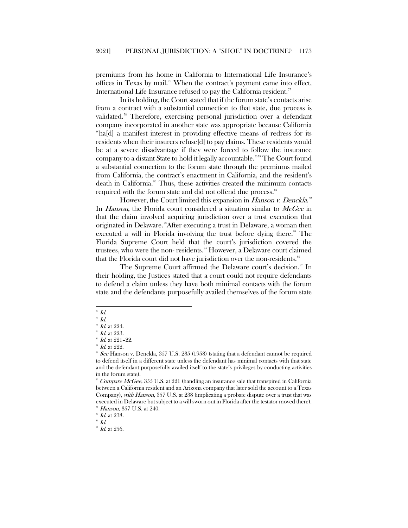premiums from his home in California to International Life Insurance's offices in Texas by mail.<sup>[76](#page-10-0)</sup> When the contract's payment came into effect, International Life Insurance refused to pay the California resident.<sup>[77](#page-10-1)</sup>

In its holding, the Court stated that if the forum state's contacts arise from a contract with a substantial connection to that state, due process is validated.<sup>[78](#page-10-2)</sup> Therefore, exercising personal jurisdiction over a defendant company incorporated in another state was appropriate because California "ha[d] a manifest interest in providing effective means of redress for its residents when their insurers refuse[d] to pay claims. These residents would be at a severe disadvantage if they were forced to follow the insurance company to a distant State to hold it legally accountable."[79](#page-10-3) The Court found a substantial connection to the forum state through the premiums mailed from California, the contract's enactment in California, and the resident's death in California.<sup>[80](#page-10-4)</sup> Thus, these activities created the minimum contacts required with the forum state and did not offend due process.<sup>[81](#page-10-5)</sup>

However, the Court limited this expansion in Hanson v. Denckla.<sup>[82](#page-10-6)</sup> In Hanson, the Florida court considered a situation similar to McGee in that the claim involved acquiring jurisdiction over a trust execution that originated in Delaware.<sup>[83](#page-10-7)</sup>After executing a trust in Delaware, a woman then executed a will in Florida involving the trust before dying there.<sup>[84](#page-10-8)</sup> The Florida Supreme Court held that the court's jurisdiction covered the trustees, who were the non-residents.<sup>[85](#page-10-9)</sup> However, a Delaware court claimed that the Florida court did not have jurisdiction over the non-residents.<sup>[86](#page-10-10)</sup>

The Supreme Court affirmed the Delaware court's decision.<sup>[87](#page-10-11)</sup> In their holding, the Justices stated that a court could not require defendants to defend a claim unless they have both minimal contacts with the forum state and the defendants purposefully availed themselves of the forum state

<span id="page-10-11"></span><span id="page-10-10"></span><span id="page-10-9"></span> $^{86}$  Id.

 $\overline{76}$  Id.

<span id="page-10-0"></span> $\overline{H}$  Id.

<span id="page-10-2"></span><span id="page-10-1"></span> $\sqrt[3]{1}$  Id. at 224.  $^{79}$  *Id.* at 223.

<span id="page-10-4"></span><span id="page-10-3"></span> $^{80}$  *Id.* at 221-22.

 $^{81}$  *Id.* at 222.

<span id="page-10-6"></span><span id="page-10-5"></span> $82$  See Hanson v. Denckla, 357 U.S. 235 (1958) (stating that a defendant cannot be required to defend itself in a different state unless the defendant has minimal contacts with that state and the defendant purposefully availed itself to the state's privileges by conducting activities in the forum state).

<span id="page-10-7"></span> $83$  Compare McGee, 355 U.S. at 221 (handling an insurance sale that transpired in California between a California resident and an Arizona company that later sold the account to a Texas Company), with Hanson, 357 U.S. at 238 (implicating a probate dispute over a trust that was executed in Delaware but subject to a will sworn out in Florida after the testator moved there). <sup>84</sup> Hanson, 357 U.S. at 240.

<span id="page-10-8"></span> $^{85}$  Id. at 238.

 $H$  Id. at 256.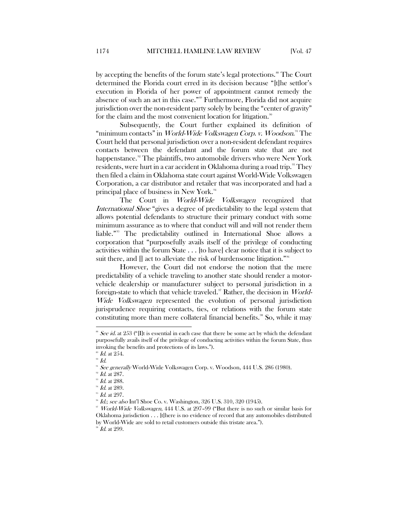by accepting the benefits of the forum state's legal protections.<sup>[88](#page-11-0)</sup> The Court determined the Florida court erred in its decision because "[t]he settlor's execution in Florida of her power of appointment cannot remedy the absence of such an act in this case."[89](#page-11-1) Furthermore, Florida did not acquire jurisdiction over the non-resident party solely by being the "center of gravity" for the claim and the most convenient location for litigation.<sup>[90](#page-11-2)</sup>

Subsequently, the Court further explained its definition of "minimum contacts" in *World-Wide Volkswagen Corp. v. Woodson*.<sup>[91](#page-11-3)</sup> The Court held that personal jurisdiction over a non-resident defendant requires contacts between the defendant and the forum state that are not happenstance.<sup>[92](#page-11-4)</sup> The plaintiffs, two automobile drivers who were New York residents, were hurt in a car accident in Oklahoma during a road trip.<sup>33</sup> They then filed a claim in Oklahoma state court against World-Wide Volkswagen Corporation, a car distributor and retailer that was incorporated and had a principal place of business in New York.<sup>[94](#page-11-6)</sup>

The Court in *World-Wide Volkswagen* recognized that International Shoe "gives a degree of predictability to the legal system that allows potential defendants to structure their primary conduct with some minimum assurance as to where that conduct will and will not render them liable."[95](#page-11-7) The predictability outlined in International Shoe allows a corporation that "purposefully avails itself of the privilege of conducting activities within the forum State . . . [to have] clear notice that it is subject to suit there, and [] act to alleviate the risk of burdensome litigation."<sup>[96](#page-11-8)</sup>

However, the Court did not endorse the notion that the mere predictability of a vehicle traveling to another state should render a motorvehicle dealership or manufacturer subject to personal jurisdiction in a foreign-state to which that vehicle traveled.<sup>[97](#page-11-9)</sup> Rather, the decision in *World*-Wide Volkswagen represented the evolution of personal jurisdiction jurisprudence requiring contacts, ties, or relations with the forum state constituting more than mere collateral financial benefits.<sup>[98](#page-11-10)</sup> So, while it may

<span id="page-11-10"></span> $^{98}$  *Id.* at 299.

<span id="page-11-0"></span> $88$  See id. at 253 ("IIIt is essential in each case that there be some act by which the defendant purposefully avails itself of the privilege of conducting activities within the forum State, thus invoking the benefits and protections of its laws.").

<span id="page-11-1"></span> $^{89}$  *Id.* at 254.

<span id="page-11-3"></span><span id="page-11-2"></span> $^{90}$  Id.

 $91$  See generally World-Wide Volkswagen Corp. v. Woodson, 444 U.S. 286 (1980).

<span id="page-11-5"></span><span id="page-11-4"></span> $\degree$  Id. at 287.

 $^{93}$  Id. at 288.

<span id="page-11-6"></span> $^{94}$  Id. at 289.

<span id="page-11-7"></span> $^{8}$  *Id.* at 297.

 $^{96}$  *Id.; see also* Int'l Shoe Co. v. Washington, 326 U.S. 310, 320 (1945).

<span id="page-11-9"></span><span id="page-11-8"></span> $\overline{v}$  *World-Wide Volkswagen*, 444 U.S. at 297–99 ("But there is no such or similar basis for Oklahoma jurisdiction . . . [t]here is no evidence of record that any automobiles distributed by World-Wide are sold to retail customers outside this tristate area.").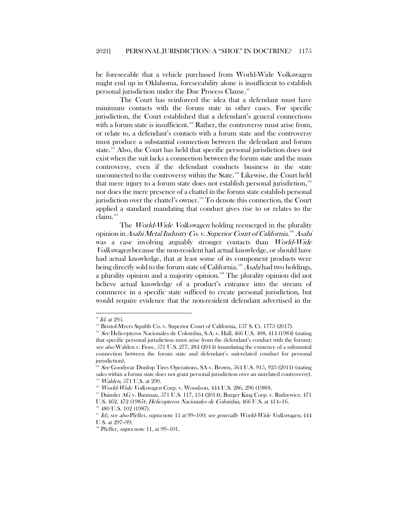be foreseeable that a vehicle purchased from World-Wide Volkswagen might end up in Oklahoma, foreseeability alone is insufficient to establish personal jurisdiction under the Due Process Clause.<sup>[99](#page-12-0)</sup>

The Court has reinforced the idea that a defendant must have minimum contacts with the forum state in other cases. For specific jurisdiction, the Court established that a defendant's general connections with a forum state is insufficient.<sup>[100](#page-12-1)</sup> Rather, the controversy must arise from, or relate to, a defendant's contacts with a forum state and the controversy must produce a substantial connection between the defendant and forum state.<sup>[101](#page-12-2)</sup> Also, the Court has held that specific personal jurisdiction does not exist when the suit lacks a connection between the forum state and the main controversy, even if the defendant conducts business in the state unconnected to the controversy within the State.<sup>[102](#page-12-3)</sup> Likewise, the Court held that mere injury to a forum state does not establish personal jurisdiction,<sup>[103](#page-12-4)</sup> nor does the mere presence of a chattel in the forum state establish personal jurisdiction over the chattel's owner.<sup>[104](#page-12-5)</sup> To denote this connection, the Court applied a standard mandating that conduct gives rise to or relates to the claim.[105](#page-12-6)

The *World-Wide Volkswagen* holding reemerged in the plurality opinion in *Asahi Metal Industry Co. v. Superior Court of California.<sup>[106](#page-12-7)</sup> Asahi* was a case involving arguably stronger contacts than World-Wide Volkswagen because the non-resident had actual knowledge, or should have had actual knowledge, that at least some of its component products were being directly sold to the forum state of California.<sup>[107](#page-12-8)</sup> Asahi had two holdings, a plurality opinion and a majority opinion.<sup>[108](#page-12-9)</sup> The plurality opinion did not believe actual knowledge of a product's entrance into the stream of commerce in a specific state sufficed to create personal jurisdiction, but would require evidence that the non-resident defendant advertised in the

 $^{99}$  Id. at 295.

<sup>&</sup>lt;sup>100</sup> Bristol-Myers Squibb Co. v. Superior Court of California, 137 S. Ct. 1773 (2017).

<span id="page-12-2"></span><span id="page-12-1"></span><span id="page-12-0"></span><sup>&</sup>lt;sup>101</sup> See Helicopteros Nacionales de Colombia, S.A. v. Hall,  $466$  U.S.  $408$ ,  $414$  (1984) (stating that specific personal jurisdiction must arise from the defendant's conduct with the forum); see also Walden v. Fiore, 571 U.S. 277, 284 (2014) (mandating the existence of a substantial connection between the forum state and defendant's suit-related conduct for personal jurisdiction).

<span id="page-12-3"></span>See Goodyear Dunlop Tires Operations, SA v. Brown, 564 U.S. 915, 923 (2011) (stating sales within a forum state does not grant personal jurisdiction over an unrelated controversy). <sup>38</sup> *Walden*, 571 U.S. at 290.

<span id="page-12-4"></span><sup>104</sup> World-Wide Volkswagen Corp. v. Woodson, 444 U.S. 286, 296 (1980).

<span id="page-12-6"></span><span id="page-12-5"></span><sup>&</sup>lt;sup>105</sup> Daimler AG v. Bauman, 571 U.S. 117, 134 (2014); Burger King Corp. v. Rudzewicz, 471 U.S. 462, 472 (1985); Helicopteros Nacionales de Colombia, 466 U.S. at 414–16. <sup>106</sup> 480 U.S. 102 (1987).

<span id="page-12-8"></span><span id="page-12-7"></span>

<sup>&</sup>lt;sup>107</sup> Id.; see also Pfeffer, supra not[e 11](#page-3-11) at 99-100; see generally World-Wide Volkswagen, 444 U.S. at 297–99.

<span id="page-12-9"></span><sup>&</sup>lt;sup>108</sup> Pfeffer, *supra* not[e 11,](#page-3-11) at 99-101.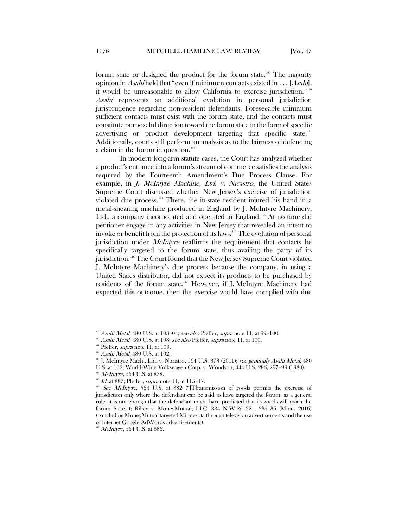forum state or designed the product for the forum state.<sup>[109](#page-13-0)</sup> The majority opinion in Asahi held that "even if minimum contacts existed in  $\dots$  [Asahi], it would be unreasonable to allow California to exercise jurisdiction."<sup>[110](#page-13-1)</sup> Asahi represents an additional evolution in personal jurisdiction jurisprudence regarding non-resident defendants. Foreseeable minimum sufficient contacts must exist with the forum state, and the contacts must constitute purposeful direction toward the forum state in the form of specific advertising or product development targeting that specific state. $11$ 11 Additionally, courts still perform an analysis as to the fairness of defending a claim in the forum in question.<sup>[112](#page-13-3)</sup>

In modern long-arm statute cases, the Court has analyzed whether a product's entrance into a forum's stream of commerce satisfies the analysis required by the Fourteenth Amendment's Due Process Clause. For example, in *J. McIntyre Machine, Ltd. v. Nicastro*, the United States Supreme Court discussed whether New Jersey's exercise of jurisdiction violated due process.<sup>[113](#page-13-4)</sup> There, the in-state resident injured his hand in a metal-shearing machine produced in England by J. McIntyre Machinery, Ltd., a company incorporated and operated in England.<sup>[114](#page-13-5)</sup> At no time did petitioner engage in any activities in New Jersey that revealed an intent to invoke or benefit from the protection of its laws.<sup>[115](#page-13-6)</sup> The evolution of personal jurisdiction under *McIntyre* reaffirms the requirement that contacts be specifically targeted to the forum state, thus availing the party of its jurisdiction.<sup>[116](#page-13-7)</sup> The Court found that the New Jersey Supreme Court violated J. McIntyre Machinery's due process because the company, in using a United States distributor, did not expect its products to be purchased by residents of the forum state.[117](#page-13-8) However, if J. McIntyre Machinery had expected this outcome, then the exercise would have complied with due

<span id="page-13-0"></span> $109$  Asahi Metal, 480 U.S. at 103-04; see also Pfeffer, supra not[e 11,](#page-3-11) at 99-100.

<span id="page-13-1"></span><sup>&</sup>lt;sup>110</sup> Asahi Metal, 480 U.S. at 108; see also Pfeffer, supra note [11,](#page-3-11) at 100.

<span id="page-13-2"></span> $111$  Pfeffer, *supra* not[e 11,](#page-3-11) at 100.

<span id="page-13-3"></span> $112$  Asahi Metal, 480 U.S. at 102.

<span id="page-13-4"></span><sup>&</sup>lt;sup>113</sup> J. McIntyre Mach., Ltd. v. Nicastro,  $564$  U.S. 873 (2011); see generally Asahi Metal, 480 U.S. at 102; World-Wide Volkswagen Corp. v. Woodson, 444 U.S. 286, 297–99 (1980).

 $114$  *McIntyre*, 564 U.S. at 878.

 $115$  Id. at 887; Pfeffer, supra note [11,](#page-3-11) at 115-17.

<span id="page-13-7"></span><span id="page-13-6"></span><span id="page-13-5"></span> $116$  See McIntyre, 564 U.S. at 882 ("[T]ransmission of goods permits the exercise of jurisdiction only where the defendant can be said to have targeted the forum; as a general rule, it is not enough that the defendant might have predicted that its goods will reach the forum State."); Rilley v. MoneyMutual, LLC, 884 N.W.2d 321, 335–36 (Minn. 2016) (concluding MoneyMutual targeted Minnesota through television advertisements and the use of internet Google AdWords advertisements).

<span id="page-13-8"></span> $117$  *McIntyre*, 564 U.S. at 886.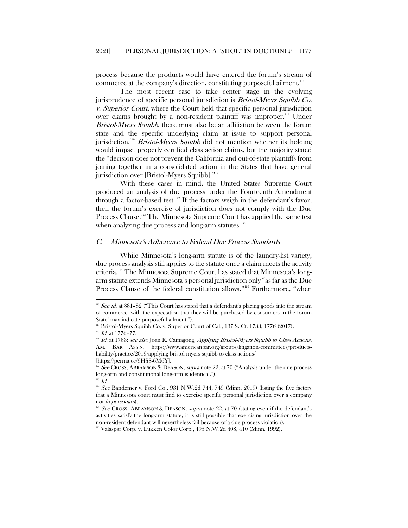process because the products would have entered the forum's stream of commerce at the company's direction, constituting purposeful ailment.<sup>[118](#page-14-1)</sup>

The most recent case to take center stage in the evolving jurisprudence of specific personal jurisdiction is Bristol-Myers Squibb Co. v. Superior Court, where the Court held that specific personal jurisdiction over claims brought by a non-resident plaintiff was improper.<sup>[119](#page-14-2)</sup> Under Bristol-Myers Squibb, there must also be an affiliation between the forum state and the specific underlying claim at issue to support personal jurisdiction.<sup>[120](#page-14-3)</sup> Bristol-Myers Squibb did not mention whether its holding would impact properly certified class action claims, but the majority stated the "decision does not prevent the California and out-of-state plaintiffs from joining together in a consolidated action in the States that have general jurisdiction over [Bristol-Myers Squibb]."<sup>[121](#page-14-4)</sup>

With these cases in mind, the United States Supreme Court produced an analysis of due process under the Fourteenth Amendment through a factor-based test.<sup>[122](#page-14-5)</sup> If the factors weigh in the defendant's favor, then the forum's exercise of jurisdiction does not comply with the Due Process Clause.<sup>[123](#page-14-6)</sup> The Minnesota Supreme Court has applied the same test when analyzing due process and long-arm statutes.<sup>[124](#page-14-7)</sup>

# <span id="page-14-0"></span>C. Minnesota's Adherence to Federal Due Process Standards

While Minnesota's long-arm statute is of the laundry-list variety, due process analysis still applies to the statute once a claim meets the activity criteria.[125](#page-14-8) The Minnesota Supreme Court has stated that Minnesota's longarm statute extends Minnesota's personal jurisdiction only "as far as the Due Process Clause of the federal constitution allows."<sup>[126](#page-14-9)</sup> Furthermore, "when

<span id="page-14-1"></span><sup>&</sup>lt;sup>118</sup> See id. at 881-82 ("This Court has stated that a defendant's placing goods into the stream of commerce 'with the expectation that they will be purchased by consumers in the forum State' may indicate purposeful ailment.").

Bristol-Myers Squibb Co. v. Superior Court of Cal., 137 S. Ct. 1733, 1776 (2017).

<span id="page-14-3"></span><span id="page-14-2"></span> $120$  *Id.* at 1776-77.

<span id="page-14-4"></span> $121$  Id. at 1783; see also Joan R. Camagong, Applying Bristol-Myers Squibb to Class Actions, AM. BAR ASS'N, [https://www.americanbar.org/groups/litigation/committees/products](https://www.americanbar.org/groups/litigation/committees/products-liability/practice/2019/applying-bristol-myers-squibb-to-class-actions/)[liability/practice/2019/applying-bristol-myers-squibb-to-class-actions/](https://www.americanbar.org/groups/litigation/committees/products-liability/practice/2019/applying-bristol-myers-squibb-to-class-actions/) [https://perma.cc/9HS8-6M6Y].

<span id="page-14-5"></span><sup>&</sup>lt;sup>122</sup> See CROSS, ABRAMSON & DEASON, *supra* note [22,](#page-4-1) at 70 ("Analysis under the due process") long-arm and constitutional long-arm is identical.").

 $123$  *Id.* 

<span id="page-14-7"></span><span id="page-14-6"></span> $124$  See Bandemer v. Ford Co., 931 N.W.2d 744, 749 (Minn. 2019) (listing the five factors that a Minnesota court must find to exercise specific personal jurisdiction over a company not in personam).

<span id="page-14-8"></span>See CROSS, ABRAMSON & DEASON, *supra* note [22,](#page-4-1) at 70 (stating even if the defendant's activities satisfy the long-arm statute, it is still possible that exercising jurisdiction over the non-resident defendant will nevertheless fail because of a due process violation).

<span id="page-14-9"></span><sup>&</sup>lt;sup>126</sup> Valaspar Corp. v. Lukken Color Corp., 495 N.W.2d 408, 410 (Minn. 1992).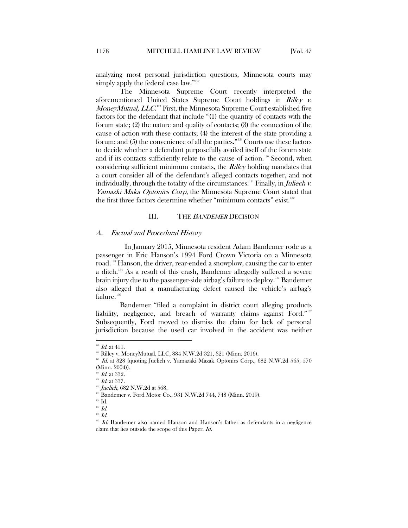analyzing most personal jurisdiction questions, Minnesota courts may simply apply the federal case law."<sup>[127](#page-15-2)</sup>

The Minnesota Supreme Court recently interpreted the aforementioned United States Supreme Court holdings in Rilley v. MoneyMutual, LLC.<sup>[128](#page-15-3)</sup> First, the Minnesota Supreme Court established five factors for the defendant that include "(1) the quantity of contacts with the forum state; (2) the nature and quality of contacts; (3) the connection of the cause of action with these contacts; (4) the interest of the state providing a forum; and (5) the convenience of all the parties."[129](#page-15-4) Courts use these factors to decide whether a defendant purposefully availed itself of the forum state and if its contacts sufficiently relate to the cause of action.<sup>[130](#page-15-5)</sup> Second, when considering sufficient minimum contacts, the *Rilley* holding mandates that a court consider all of the defendant's alleged contacts together, and not individually, through the totality of the circumstances.<sup>[131](#page-15-6)</sup> Finally, in *Juliech v*. Yamazki Maka Optonics Corp, the Minnesota Supreme Court stated that the first three factors determine whether "minimum contacts" exist.<sup>[132](#page-15-7)</sup>

## III. THE BANDEMER DECISION

#### <span id="page-15-1"></span><span id="page-15-0"></span>A. Factual and Procedural History

In January 2015, Minnesota resident Adam Bandemer rode as a passenger in Eric Hanson's 1994 Ford Crown Victoria on a Minnesota road.<sup>[133](#page-15-8)</sup> Hanson, the driver, rear-ended a snowplow, causing the car to enter a ditch.[134](#page-15-9) As a result of this crash, Bandemer allegedly suffered a severe brain injury due to the passenger-side airbag's failure to deploy.[135](#page-15-10) Bandemer also alleged that a manufacturing defect caused the vehicle's airbag's failure.<sup>[136](#page-15-11)</sup>

Bandemer "filed a complaint in district court alleging products liability, negligence, and breach of warranty claims against Ford."<sup>[137](#page-15-12)</sup> Subsequently, Ford moved to dismiss the claim for lack of personal jurisdiction because the used car involved in the accident was neither

<span id="page-15-2"></span> $127$  *Id.* at 411.

<span id="page-15-3"></span><sup>&</sup>lt;sup>128</sup> Rilley v. MoneyMutual, LLC, 884 N.W.2d 321, 321 (Minn. 2016).

<span id="page-15-4"></span> $129$  Id. at 328 (quoting Juelich v. Yamazaki Mazak Optonics Corp., 682 N.W.2d 565, 570 (Minn. 2004)).

 $M$ . at 332.

<span id="page-15-5"></span> $^{131}$  *Id.* at 337.

<span id="page-15-7"></span><span id="page-15-6"></span> $132$  Juelich, 682 N.W.2d at 568.

<span id="page-15-8"></span><sup>&</sup>lt;sup>8</sup> Bandemer v. Ford Motor Co., 931 N.W.2d 744, 748 (Minn. 2019).

<sup>&</sup>lt;sup>134</sup> Id.

<span id="page-15-10"></span><span id="page-15-9"></span> $^{135}$   $\emph{Id.}$ 

<span id="page-15-12"></span><span id="page-15-11"></span> $^{136}$  Id.

 $137$  Id. Bandemer also named Hanson and Hanson's father as defendants in a negligence claim that lies outside the scope of this Paper. Id.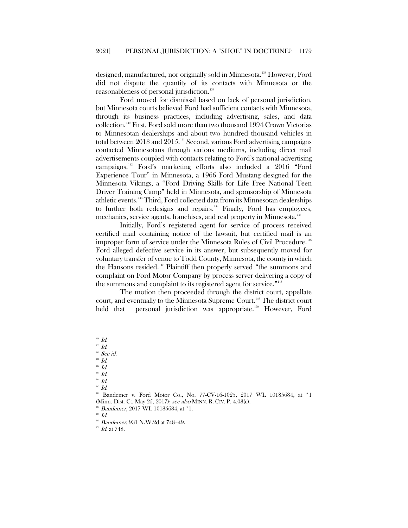designed, manufactured, nor originally sold in Minnesota.<sup>[138](#page-16-0)</sup> However, Ford did not dispute the quantity of its contacts with Minnesota or the reasonableness of personal jurisdiction.<sup>[139](#page-16-1)</sup>

Ford moved for dismissal based on lack of personal jurisdiction, but Minnesota courts believed Ford had sufficient contacts with Minnesota, through its business practices, including advertising, sales, and data collection.[140](#page-16-2) First, Ford sold more than two thousand 1994 Crown Victorias to Minnesotan dealerships and about two hundred thousand vehicles in total between 2013 and 2015.<sup>[141](#page-16-3)</sup> Second, various Ford advertising campaigns contacted Minnesotans through various mediums, including direct mail advertisements coupled with contacts relating to Ford's national advertising campaigns[.142](#page-16-4) Ford's marketing efforts also included a 2016 "Ford Experience Tour" in Minnesota, a 1966 Ford Mustang designed for the Minnesota Vikings, a "Ford Driving Skills for Life Free National Teen Driver Training Camp" held in Minnesota, and sponsorship of Minnesota athletic events.[143](#page-16-5) Third, Ford collected data from its Minnesotan dealerships to further both redesigns and repairs.<sup>[144](#page-16-6)</sup> Finally, Ford has employees, mechanics, service agents, franchises, and real property in Minnesota.<sup>[145](#page-16-7)</sup>

Initially, Ford's registered agent for service of process received certified mail containing notice of the lawsuit, but certified mail is an improper form of service under the Minnesota Rules of Civil Procedure.<sup>[146](#page-16-8)</sup> Ford alleged defective service in its answer, but subsequently moved for voluntary transfer of venue to Todd County, Minnesota, the county in which the Hansons resided.[147](#page-16-9) Plaintiff then properly served "the summons and complaint on Ford Motor Company by process server delivering a copy of the summons and complaint to its registered agent for service."<sup>[148](#page-16-10)</sup>

The motion then proceeded through the district court, appellate court, and eventually to the Minnesota Supreme Court.[149](#page-16-11) The district court held that personal jurisdiction was appropriate.<sup>[150](#page-16-12)</sup> However, Ford

<span id="page-16-6"></span><span id="page-16-5"></span> $^{14}$   $\emph{Id.}$ 

 $^{145}$   $\emph{Id.}$ 

<span id="page-16-12"></span><span id="page-16-11"></span><span id="page-16-10"></span><span id="page-16-9"></span> $^{148}$   $\emph{Id.}$ 

 $^{150}$   $\emph{Id.}$  at 748.

 $^{138}$  Id.

<span id="page-16-1"></span><span id="page-16-0"></span> $^{139}$   $\emph{Id.}$ 

 $140$  See id.

<span id="page-16-3"></span><span id="page-16-2"></span> $^{141}$   $\emph{Id.}$ 

<span id="page-16-4"></span> $142$   $Id.$  $^{143}$   $\emph{Id.}$ 

<span id="page-16-8"></span><span id="page-16-7"></span><sup>&</sup>lt;sup>146</sup> Bandemer v. Ford Motor Co., No. 77-CV-16-1025, 2017 WL 10185684, at \*1 (Minn. Dist. Ct. May 25, 2017); see also MINN. R. CIV. P. 4.03(c).

<sup>&</sup>lt;sup>147</sup> Bandemer, 2017 WL 10185684, at \*1.

<sup>&</sup>lt;sup>149</sup> Bandemer, 931 N.W.2d at 748-49.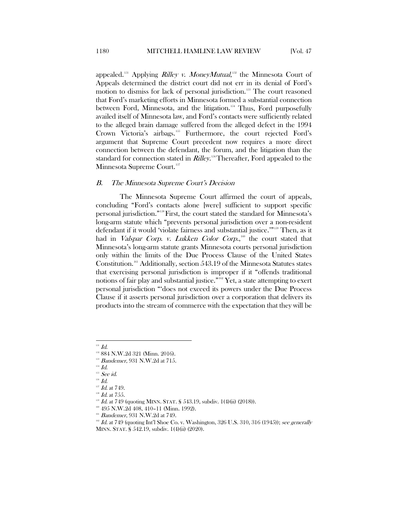appealed.<sup>[151](#page-17-1)</sup> Applying *Rilley v. MoneyMutual*,<sup>[152](#page-17-2)</sup> the Minnesota Court of Appeals determined the district court did not err in its denial of Ford's motion to dismiss for lack of personal jurisdiction.<sup>[153](#page-17-3)</sup> The court reasoned that Ford's marketing efforts in Minnesota formed a substantial connection between Ford, Minnesota, and the litigation.<sup>[154](#page-17-4)</sup> Thus, Ford purposefully availed itself of Minnesota law, and Ford's contacts were sufficiently related to the alleged brain damage suffered from the alleged defect in the 1994 Crown Victoria's airbags.<sup>[155](#page-17-5)</sup> Furthermore, the court rejected Ford's argument that Supreme Court precedent now requires a more direct connection between the defendant, the forum, and the litigation than the standard for connection stated in *Rilley*.<sup>[156](#page-17-6)</sup>Thereafter, Ford appealed to the Minnesota Supreme Court.<sup>[157](#page-17-7)</sup>

#### <span id="page-17-0"></span>B. The Minnesota Supreme Court's Decision

The Minnesota Supreme Court affirmed the court of appeals, concluding "Ford's contacts alone [were] sufficient to support specific personal jurisdiction."[158](#page-17-8)First, the court stated the standard for Minnesota's long-arm statute which "prevents personal jurisdiction over a non-resident defendant if it would 'violate fairness and substantial justice.'"[159](#page-17-9) Then, as it had in *Valspar Corp. v. Lukken Color Corp.*,<sup>[160](#page-17-10)</sup> the court stated that Minnesota's long-arm statute grants Minnesota courts personal jurisdiction only within the limits of the Due Process Clause of the United States Constitution.[161](#page-17-11) Additionally, section 543.19 of the Minnesota Statutes states that exercising personal jurisdiction is improper if it "offends traditional notions of fair play and substantial justice."[162](#page-17-12) Yet, a state attempting to exert personal jurisdiction "'does not exceed its powers under the Due Process Clause if it asserts personal jurisdiction over a corporation that delivers its products into the stream of commerce with the expectation that they will be

<span id="page-17-1"></span> $151$  Id.

<span id="page-17-2"></span><sup>152</sup> 884 N.W.2d 321 (Minn. 2016).

<span id="page-17-4"></span><span id="page-17-3"></span> $^{153}$  *Bandemer*, 931 N.W.2d at 715.<br><sup>154</sup> *Id.* 

<sup>&</sup>lt;sup>155</sup> See id.

<span id="page-17-7"></span><span id="page-17-6"></span><span id="page-17-5"></span> $^{156}$   $\emph{Id.}$ 

 $^{157}$  *Id.* at 749.

 $Hd.$  at 755.

<span id="page-17-10"></span><span id="page-17-9"></span><span id="page-17-8"></span>Id. at 749 (quoting MINN. STAT. § 543.19, subdiv. 1(4)(ii) (2018)).

 $160$  495 N.W.2d 408, 410-11 (Minn, 1992).

<span id="page-17-11"></span><sup>&</sup>lt;sup>161</sup> Bandemer, 931 N.W.2d at 749.

<span id="page-17-12"></span> $162$  Id. at 749 (quoting Int'l Shoe Co. v. Washington, 326 U.S. 310, 316 (1945)); see generally MINN. STAT. § 542.19, subdiv. 1(4)(ii) (2020).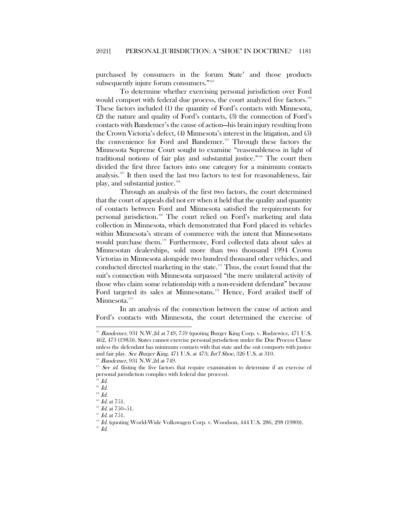purchased by consumers in the forum State' and those products subsequently injure forum consumers."<sup>[163](#page-18-0)</sup>

To determine whether exercising personal jurisdiction over Ford would comport with federal due process, the court analyzed five factors.<sup>[164](#page-18-1)</sup> These factors included (1) the quantity of Ford's contacts with Minnesota, (2) the nature and quality of Ford's contacts, (3) the connection of Ford's contacts with Bandemer's the cause of action—his brain injury resulting from the Crown Victoria's defect, (4) Minnesota's interest in the litigation, and (5) the convenience for Ford and Bandemer.<sup>[165](#page-18-2)</sup> Through these factors the Minnesota Supreme Court sought to examine "reasonableness in light of traditional notions of fair play and substantial justice."<sup>[166](#page-18-3)</sup> The court then divided the first three factors into one category for a minimum contacts analysis.<sup>[167](#page-18-4)</sup> It then used the last two factors to test for reasonableness, fair play, and substantial justice.<sup>[168](#page-18-5)</sup>

Through an analysis of the first two factors, the court determined that the court of appeals did not err when it held that the quality and quantity of contacts between Ford and Minnesota satisfied the requirements for personal jurisdiction.[169](#page-18-6) The court relied on Ford's marketing and data collection in Minnesota, which demonstrated that Ford placed its vehicles within Minnesota's stream of commerce with the intent that Minnesotans would purchase them.[170](#page-18-7) Furthermore, Ford collected data about sales at Minnesotan dealerships, sold more than two thousand 1994 Crown Victorias in Minnesota alongside two hundred thousand other vehicles, and conducted directed marketing in the state.<sup>[171](#page-18-8)</sup> Thus, the court found that the suit's connection with Minnesota surpassed "the mere unilateral activity of those who claim some relationship with a non-resident defendant" because Ford targeted its sales at Minnesotans.<sup>172</sup> Hence, Ford availed itself of Minnesota.<sup>[173](#page-18-10)</sup>

In an analysis of the connection between the cause of action and Ford's contacts with Minnesota, the court determined the exercise of

<span id="page-18-0"></span><sup>&</sup>lt;sup>163</sup> Bandemer, 931 N.W.2d at 749, 759 (quoting Burger King Corp. v. Rudzewicz, 471 U.S. 462, 473 (1985)). States cannot exercise personal jurisdiction under the Due Process Clause unless the defendant has minimum contacts with that state and the suit comports with justice and fair play. See Burger King, 471 U.S. at 473; Int'l Shoe, 326 U.S. at 310.

<sup>&</sup>lt;sup>164</sup> Bandemer, 931 N.W.2d at 749.

<span id="page-18-2"></span><span id="page-18-1"></span><sup>&</sup>lt;sup>165</sup> See id. (listing the five factors that require examination to determine if an exercise of personal jurisdiction complies with federal due process).

<span id="page-18-3"></span> $66$   $Id.$ 

<span id="page-18-4"></span> $^{167}$   $\emph{Id.}$ 

 $^{168}$   $Id.$ 

<span id="page-18-5"></span> $169$  *Id.* at 7.51.

<span id="page-18-7"></span><span id="page-18-6"></span> $170$  *Id.* at 750-51.

<span id="page-18-9"></span><span id="page-18-8"></span> $171$  *Id.* at 751.

<span id="page-18-10"></span><sup>&</sup>lt;sup>172</sup> Id. (quoting World-Wide Volkswagen Corp. v. Woodson, 444 U.S. 286, 298 (1980)).

 $^{173}$   $\emph{Id.}$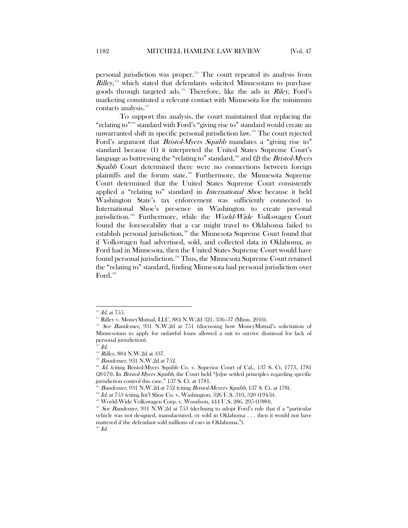personal jurisdiction was proper.[174](#page-19-0) The court repeated its analysis from  $Rilley$ ,<sup>[175](#page-19-1)</sup> which stated that defendants solicited Minnesotans to purchase goods through targeted ads.<sup>[176](#page-19-2)</sup> Therefore, like the ads in Riley, Ford's marketing constituted a relevant contact with Minnesota for the minimum contacts analysis.<sup>[177](#page-19-3)</sup>

To support this analysis, the court maintained that replacing the "relating to"<sup>[178](#page-19-4)</sup> standard with Ford's "giving rise to" standard would create an unwarranted shift in specific personal jurisdiction law.[179](#page-19-5) The court rejected Ford's argument that *Bristol-Myers Squibb* mandates a "giving rise to" standard because (1) it interpreted the United States Supreme Court's language as buttressing the "relating to" standard, $^{180}$  and (2) the Bristol-Myers Squibb Court determined there were no connections between foreign plaintiffs and the forum state.[181](#page-19-7) Furthermore, the Minnesota Supreme Court determined that the United States Supreme Court consistently applied a "relating to" standard in International Shoe because it held Washington State's tax enforcement was sufficiently connected to International Shoe's presence in Washington to create personal jurisdiction.<sup>[182](#page-19-8)</sup> Furthermore, while the World-Wide Volkswagen Court found the foreseeability that a car might travel to Oklahoma failed to establish personal jurisdiction,<sup>[183](#page-19-9)</sup> the Minnesota Supreme Court found that if Volkswagen had advertised, sold, and collected data in Oklahoma, as Ford had in Minnesota, then the United States Supreme Court would have found personal jurisdiction.<sup>[184](#page-19-10)</sup> Thus, the Minnesota Supreme Court retained the "relating to" standard, finding Minnesota had personal jurisdiction over Ford.<sup>[185](#page-19-11)</sup>

<span id="page-19-11"></span> $^{185}$   $Id.$ 

 $174$  *Id.* at 755.

<span id="page-19-1"></span><span id="page-19-0"></span><sup>&</sup>lt;sup>175</sup> Rilley v. MoneyMutual, LLC, 884 N.W.2d 321, 336-37 (Minn. 2016).

<span id="page-19-2"></span><sup>&</sup>lt;sup>176</sup> See Bandemer, 931 N.W.2d at 751 (discussing how MoneyMutual's solicitation of Minnesotans to apply for unlawful loans allowed a suit to survive dismissal for lack of personal jurisdiction).

 $\overline{d}$  Id.

<span id="page-19-4"></span><span id="page-19-3"></span><sup>&</sup>lt;sup>178</sup> Rilley, 884 N.W.2d at 337.

<span id="page-19-5"></span><sup>&</sup>lt;sup>179</sup> Bandemer, 931 N.W.2d at 752.

<span id="page-19-6"></span> $180$  Id. (citing Bristol-Myers Squibb Co. v. Superior Court of Cal., 137 S. Ct. 1773, 1781  $(2017)$ ). In *Bristol-Myers Squibb*, the Court held "[o]ur settled principles regarding specific jurisdiction control this case." 137 S. Ct. at 1781.

Bandemer, 931 N.W.2d at 752 (citing Bristol-Meyers Squibb, 137 S. Ct. at 178).

Id. at 753 (citing Int'l Shoe Co. v. Washington, 326 U.S. 310, 320 (1945)).

<span id="page-19-8"></span><span id="page-19-7"></span><sup>&</sup>lt;sup>183</sup> World-Wide Volkswagen Corp. v. Woodson, 444 U.S. 286, 295 (1980).

<span id="page-19-10"></span><span id="page-19-9"></span> $184$  See Bandemer, 931 N.W.2d at 753 (declining to adopt Ford's rule that if a "particular" vehicle was not designed, manufactured, or sold in Oklahoma . . . then it would not have mattered if the defendant sold millions of cars in Oklahoma.").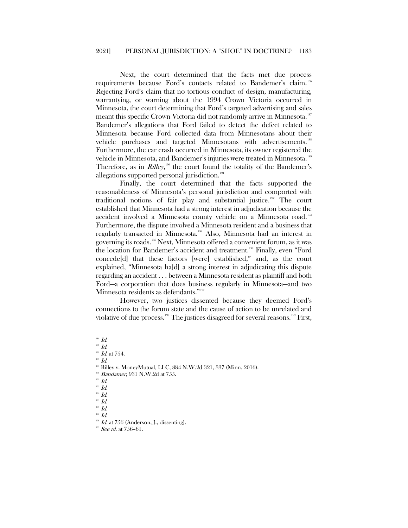Next, the court determined that the facts met due process requirements because Ford's contacts related to Bandemer's claim.<sup>[186](#page-20-0)</sup> Rejecting Ford's claim that no tortious conduct of design, manufacturing, warrantying, or warning about the 1994 Crown Victoria occurred in Minnesota, the court determining that Ford's targeted advertising and sales meant this specific Crown Victoria did not randomly arrive in Minnesota.<sup>[187](#page-20-1)</sup> Bandemer's allegations that Ford failed to detect the defect related to Minnesota because Ford collected data from Minnesotans about their vehicle purchases and targeted Minnesotans with advertisements.<sup>[188](#page-20-2)</sup> Furthermore, the car crash occurred in Minnesota, its owner registered the vehicle in Minnesota, and Bandemer's injuries were treated in Minnesota.<sup>[189](#page-20-3)</sup> Therefore, as in  $\textit{Rilley}^{\text{190}}$  $\textit{Rilley}^{\text{190}}$  $\textit{Rilley}^{\text{190}}$  the court found the totality of the Bandemer's allegations supported personal jurisdiction.<sup>[191](#page-20-5)</sup>

Finally, the court determined that the facts supported the reasonableness of Minnesota's personal jurisdiction and comported with traditional notions of fair play and substantial justice.<sup>[192](#page-20-6)</sup> The court established that Minnesota had a strong interest in adjudication because the accident involved a Minnesota county vehicle on a Minnesota road.<sup>[193](#page-20-7)</sup> Furthermore, the dispute involved a Minnesota resident and a business that regularly transacted in Minnesota.[194](#page-20-8) Also, Minnesota had an interest in governing its roads.[195](#page-20-9) Next, Minnesota offered a convenient forum, as it was the location for Bandemer's accident and treatment.<sup>[196](#page-20-10)</sup> Finally, even "Ford concede[d] that these factors [were] established," and, as the court explained, "Minnesota ha[d] a strong interest in adjudicating this dispute regarding an accident . . . between a Minnesota resident as plaintiff and both Ford—a corporation that does business regularly in Minnesota—and two Minnesota residents as defendants."<sup>[197](#page-20-11)</sup>

However, two justices dissented because they deemed Ford's connections to the forum state and the cause of action to be unrelated and violative of due process.<sup>[198](#page-20-12)</sup> The justices disagreed for several reasons.<sup>[199](#page-20-13)</sup> First,

 $^{189}$  Id.

<span id="page-20-0"></span> $186$  *Id.* 

 $187$  *Id.* 

<span id="page-20-2"></span><span id="page-20-1"></span> $^{188}$  *Id.* at 754.

<span id="page-20-3"></span><sup>&</sup>lt;sup>190</sup> Rilley v. MoneyMutual, LLC, 884 N.W.2d 321, 337 (Minn. 2016).

<span id="page-20-7"></span><span id="page-20-6"></span><span id="page-20-5"></span><span id="page-20-4"></span><sup>&</sup>lt;sup>191</sup> Bandamer, 931 N.W.2d at 755.

 $192$  *Id.* 

 $^{193}$   $Id.$ 

<span id="page-20-8"></span> $194$   $Id.$ 

 $195$  *Id.* 

 $^{196}$   $\emph{Id.}$ 

<span id="page-20-12"></span><span id="page-20-11"></span><span id="page-20-10"></span><span id="page-20-9"></span> $197$  Id.

<span id="page-20-13"></span> $198$  *Id.* at 756 (Anderson, J., dissenting).

 $^{199}$  See id. at 756-61.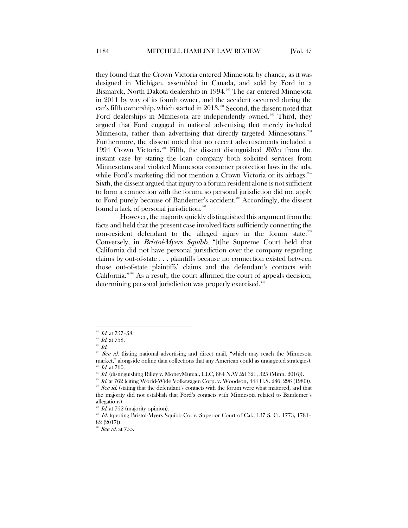they found that the Crown Victoria entered Minnesota by chance, as it was designed in Michigan, assembled in Canada, and sold by Ford in a Bismarck, North Dakota dealership in 1994.<sup>[200](#page-21-0)</sup> The car entered Minnesota in 2011 by way of its fourth owner, and the accident occurred during the car's fifth ownership, which started in  $2013$  $2013$ <sup>201</sup> Second, the dissent noted that Ford dealerships in Minnesota are independently owned.<sup>[202](#page-21-2)</sup> Third, they argued that Ford engaged in national advertising that merely included Minnesota, rather than advertising that directly targeted Minnesotans. Furthermore, the dissent noted that no recent advertisements included a 1994 Crown Victoria.<sup>[204](#page-21-4)</sup> Fifth, the dissent distinguished *Rilley* from the instant case by stating the loan company both solicited services from Minnesotans and violated Minnesota consumer protection laws in the ads, while Ford's marketing did not mention a Crown Victoria or its airbags.<sup>[205](#page-21-5)</sup> Sixth, the dissent argued that injury to a forum resident alone is not sufficient to form a connection with the forum, so personal jurisdiction did not apply to Ford purely because of Bandemer's accident.<sup>[206](#page-21-6)</sup> Accordingly, the dissent found a lack of personal jurisdiction.<sup>[207](#page-21-7)</sup>

However, the majority quickly distinguished this argument from the facts and held that the present case involved facts sufficiently connecting the non-resident defendant to the alleged injury in the forum state.<sup>[208](#page-21-8)</sup> Conversely, in Bristol-Myers Squibb, "[t]he Supreme Court held that California did not have personal jurisdiction over the company regarding claims by out-of-state . . . plaintiffs because no connection existed between those out-of-state plaintiffs' claims and the defendant's contacts with California."[209](#page-21-9) As a result, the court affirmed the court of appeals decision, determining personal jurisdiction was properly exercised.<sup>[210](#page-21-10)</sup>

 $^{200}$  *Id.* at 757-58.

<span id="page-21-2"></span><span id="page-21-1"></span><span id="page-21-0"></span> $^{201}$  *Id.* at 758.

 $202$   $Id.$ 

<span id="page-21-3"></span><sup>&</sup>lt;sup>203</sup> See id. (listing national advertising and direct mail, "which may reach the Minnesota market," alongside online data collections that any American could as untargeted strategies).  $^{204}$  *Id.* at 760.

<span id="page-21-5"></span><span id="page-21-4"></span><sup>&</sup>lt;sup>205</sup> Id. (distinguishing Rilley v. MoneyMutual, LLC, 884 N.W.2d 321, 325 (Minn. 2016)).

<span id="page-21-7"></span><span id="page-21-6"></span><sup>&</sup>lt;sup>206</sup> Id. at 762 (citing World-Wide Volkswagen Corp. v. Woodson, 444 U.S. 286, 296 (1980)). <sup>207</sup> See id. (stating that the defendant's contacts with the forum were what mattered, and that the majority did not establish that Ford's contacts with Minnesota related to Bandemer's allegations).

 $^{208}$  *Id.* at 752 (majority opinion).

<span id="page-21-10"></span><span id="page-21-9"></span><span id="page-21-8"></span><sup>&</sup>lt;sup>209</sup> Id. (quoting Bristol-Myers Squibb Co. v. Superior Court of Cal., 137 S. Ct. 1773, 1781-82 (2017)).

 $210$  See id. at 755.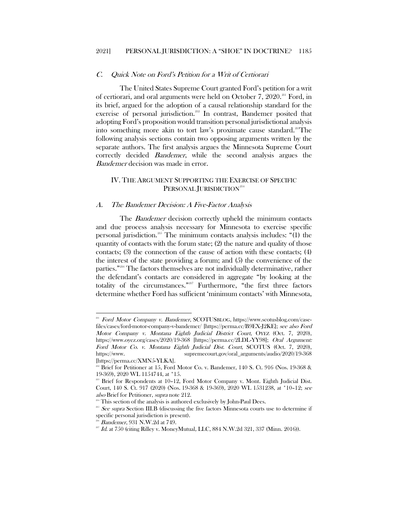#### <span id="page-22-12"></span><span id="page-22-0"></span>C. Quick Note on Ford's Petition for a Writ of Certiorari

<span id="page-22-3"></span>The United States Supreme Court granted Ford's petition for a writ of certiorari, and oral arguments were held on October 7, 2020.<sup>[211](#page-22-4)</sup> Ford, in its brief, argued for the adoption of a causal relationship standard for the exercise of personal jurisdiction.<sup>[212](#page-22-5)</sup> In contrast, Bandemer posited that adopting Ford's proposition would transition personal jurisdictional analysis into something more akin to tort law's proximate cause standard.<sup>213</sup>The following analysis sections contain two opposing arguments written by the separate authors. The first analysis argues the Minnesota Supreme Court correctly decided Bandemer, while the second analysis argues the Bandemer decision was made in error.

# <span id="page-22-11"></span><span id="page-22-1"></span>IV. THE ARGUMENT SUPPORTING THE EXERCISE OF SPECIFIC PERSONAL JURISDICTION<sup>[214](#page-22-7)</sup>

#### <span id="page-22-2"></span>A. The Bandemer Decision: A Five-Factor Analysis

The *Bandemer* decision correctly upheld the minimum contacts and due process analysis necessary for Minnesota to exercise specific personal jurisdiction.[215](#page-22-8) The minimum contacts analysis includes: "(1) the quantity of contacts with the forum state; (2) the nature and quality of those contacts; (3) the connection of the cause of action with these contacts; (4) the interest of the state providing a forum; and (5) the convenience of the parties."[216](#page-22-9) The factors themselves are not individually determinative, rather the defendant's contacts are considered in aggregate "by looking at the totality of the circumstances."[217](#page-22-10) Furthermore, "the first three factors determine whether Ford has sufficient 'minimum contacts' with Minnesota,

l

<span id="page-22-4"></span><sup>&</sup>lt;sup>211</sup> Ford Motor Company v. Bandemer, SCOTUSBLOG, https://www.scotusblog.com/casefiles/cases/ford-motor-company-v-bandemer/ [https://perma.cc/B9EX-J2KE]; see also Ford Motor Company v. Montana Eighth Judicial District Court, OYEZ (Oct. 7, 2020), https://www.oyez.org/cases/2020/19-368 [https://perma.cc/2LDL-YY98]; Oral Argument: Ford Motor Co. v. Montana Eighth Judicial Dist. Court, SCOTUS (Oct. 7, 2020), [https://www.](https://www/) supremecourt.gov/oral\_arguments/audio/2020/19-368 [https://perma.cc/XMN5-YLKA].

<span id="page-22-5"></span> $212$  Brief for Petitioner at 15, Ford Motor Co. v. Bandemer, 140 S. Ct. 916 (Nos. 19-368 & 19-369), 2020 WL 1154744, at \*15.

<span id="page-22-6"></span> $213$  Brief for Respondents at  $10-12$ , Ford Motor Company v. Mont. Eighth Judicial Dist. Court, 140 S. Ct. 917 (2020) (Nos. 19-368 & 19-369), 2020 WL 1531238, at \*10–12; see also Brief for Petitioner, *supra* note [212.](#page-22-3)<br><sup>214</sup> This section of the analysis is authored exclusively by John-Paul Dees.<br><sup>215</sup> See supra Section III.B (discussing the five factors Minnesota courts use to determine if

<span id="page-22-8"></span><span id="page-22-7"></span>specific personal jurisdiction is present).

Bandemer, 931 N.W.2d at 749.

<span id="page-22-10"></span><span id="page-22-9"></span> $^{217}$  Id. at 750 (citing Rilley v. MoneyMutual, LLC, 884 N.W.2d 321, 337 (Minn. 2016)).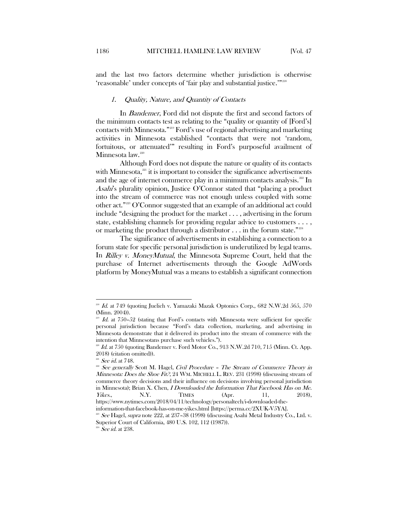<span id="page-23-0"></span>and the last two factors determine whether jurisdiction is otherwise 'reasonable' under concepts of 'fair play and substantial justice.'"[218](#page-23-2)

#### <span id="page-23-1"></span>1. Quality, Nature, and Quantity of Contacts

In Bandemer, Ford did not dispute the first and second factors of the minimum contacts test as relating to the "quality or quantity of [Ford's] contacts with Minnesota."[219](#page-23-3) Ford's use of regional advertising and marketing activities in Minnesota established "contacts that were not 'random, fortuitous, or attenuated'" resulting in Ford's purposeful availment of Minnesota law.<sup>[220](#page-23-4)</sup>

Although Ford does not dispute the nature or quality of its contacts with Minnesota, $221$  it is important to consider the significance advertisements and the age of internet commerce play in a minimum contacts analysis. $^{222}$  $^{222}$  $^{222}$  In Asahi's plurality opinion, Justice O'Connor stated that "placing a product into the stream of commerce was not enough unless coupled with some other act."[223](#page-23-7) O'Connor suggested that an example of an additional act could include "designing the product for the market . . . , advertising in the forum state, establishing channels for providing regular advice to customers . . . , or marketing the product through a distributor  $\dots$  in the forum state."<sup>[224](#page-23-8)</sup>

The significance of advertisements in establishing a connection to a forum state for specific personal jurisdiction is underutilized by legal teams. In *Rilley v. MoneyMutual*, the Minnesota Supreme Court, held that the purchase of Internet advertisements through the Google AdWords platform by MoneyMutual was a means to establish a significant connection

<span id="page-23-2"></span>Id. at 749 (quoting Juelich v. Yamazaki Mazak Optonics Corp., 682 N.W.2d 565, 570 (Minn. 2004)).

<span id="page-23-3"></span>Id. at 750-52 (stating that Ford's contacts with Minnesota were sufficient for specific personal jurisdiction because "Ford's data collection, marketing, and advertising in Minnesota demonstrate that it delivered its product into the stream of commerce with the intention that Minnesotans purchase such vehicles.").

<span id="page-23-4"></span> $^{220}$  Id. at 750 (quoting Bandemer v. Ford Motor Co., 913 N.W.2d 710, 715 (Minn. Ct. App. 2018) (citation omitted)).

 $221$  *See id.* at 748.

<span id="page-23-6"></span><span id="page-23-5"></span> $222$   $22$  See generally Scott M. Hagel, Civil Procedure - The Stream of Commerce Theory in Minnesota: Does the Shoe Fit?, 24 WM. MICHELL L. REV. 231 (1998) (discussing stream of commerce theory decisions and their influence on decisions involving personal jurisdiction in Minnesota); Brian X. Chen, I Downloaded the Information That Facebook Has on Me. *Yikes.*, N.Y. TIMES (Apr. 11, 2018), https://www.nytimes.com/2018/04/11/technology/personaltech/i-downloaded-the-

information-that-facebook-has-on-me-yikes.html [https://perma.cc/2XUK-V5YA].

<span id="page-23-7"></span>See Hagel, supra note [222,](#page-23-1) at 237-38 (1998) (discussing Asahi Metal Industry Co., Ltd. v. Superior Court of California, 480 U.S. 102, 112 (1987)).

<span id="page-23-8"></span> $224$  See id. at 238.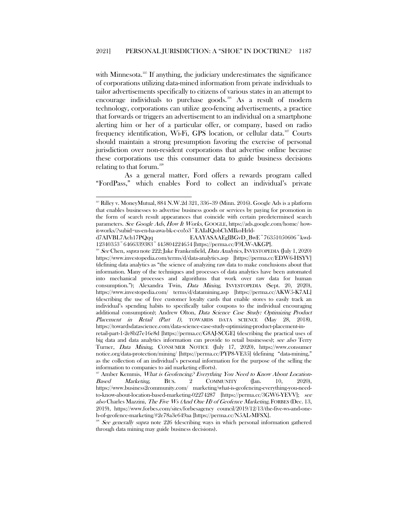<span id="page-24-0"></span>with Minnesota. $225$  If anything, the judiciary underestimates the significance of corporations utilizing data-mined information from private individuals to tailor advertisements specifically to citizens of various states in an attempt to encourage individuals to purchase goods.<sup>[226](#page-24-2)</sup> As a result of modern technology, corporations can utilize geo-fencing advertisements, a practice that forwards or triggers an advertisement to an individual on a smartphone alerting him or her of a particular offer, or company, based on radio frequency identification, Wi-Fi, GPS location, or cellular data.<sup>[227](#page-24-3)</sup> Courts should maintain a strong presumption favoring the exercise of personal jurisdiction over non-resident corporations that advertise online because these corporations use this consumer data to guide business decisions relating to that forum. $228$ 

As a general matter, Ford offers a rewards program called "FordPass," which enables Ford to collect an individual's private

<span id="page-24-4"></span>See generally supra note [226](#page-24-0) (describing ways in which personal information gathered through data mining may guide business decisions).

<span id="page-24-1"></span> $^{225}$  Rilley v. MoneyMutual, 884 N.W.2d 321, 336-39 (Minn. 2016). Google Ads is a platform that enables businesses to advertise business goods or services by paying for promotion in the form of search result appearances that coincide with certain predetermined search parameters. See Google Ads, How It Works, GOOGLE, <https://ads.google.com/home/> howit-works/?subid=us-en-ha-awa-bk-c-co!o3~EAIaIQobChMIkoHrld-

d7AIVBL7Ach17PQqq EAAYASAAEgIBGvD\_BwE~76351050606~kwd-12340353~6466339383~445804224654 [https://perma.cc/F9LW-AKGP].

<span id="page-24-2"></span> $^{226}$  See Chen, supra note [222;](#page-23-1) Jake Frankenfield, *Data Analytics*, INVESTOPEDIA (July 1, 2020) https://www.investopedia.com/terms/d/data-analytics.asp [https://perma.cc/EDW6-HSYV] (defining data analytics as "the science of analyzing raw data to make conclusions about that information. Many of the techniques and processes of data analytics have been automated into mechanical processes and algorithms that work over raw data for human consumption."); Alexandra Twin, Data Mining, INVESTOPEDIA (Sept. 20, 2020), <https://www.investopedia.com/> terms/d/datamining.asp [https://perma.cc/AKW5-K7AL] (describing the use of free customer loyalty cards that enable stores to easily track an individual's spending habits to specifically tailor coupons to the individual encouraging additional consumption); Andrew Olton, *Data Science Case Study: Optimizing Product* Placement in Retail (Part 1), TOWARDS DATA SCIENCE (May 28, 2018), https://towardsdatascience.com/data-science-case-study-optimizing-product-placement-inretail-part-1-2e8b27e16e8d [https://perma.cc/G8AJ-SCGE] (describing the practical uses of

big data and data analytics information can provide to retail businesses); see also Terry Turner, Data Mining, CONSUMER NOTICE (July 17, 2020), [https://www.consumer](https://www.consumer/) notice.org/data-protection/mining/ [https://perma.cc/PYP8-VE35] (defining "data-mining," as the collection of an individual's personal information for the purpose of the selling the information to companies to aid marketing efforts).

<span id="page-24-3"></span> $^{227}$  Amber Kemmis, *What is Geofencing? Everything You Need to Know About Location-*Based Marketing, BUS. 2 COMMUNITY (Jan. 10, 2020), <https://www.business2community.com/> marketing/what-is-geofencing-everything-you-needto-know-about-location-based-marketing-02274287 [https://perma.cc/3GW6-YEVV]; see also Charles Mazzini, The Five Ws (And One H) of Geofence Marketing, FORBES (Dec. 13, 2019), <https://www.forbes.com/sites/forbesagency> council/2019/12/13/the-five-ws-and-oneh-of-geofence-marketing/#2e78a3e649aa [https://perma.cc/N5AL-MFSX].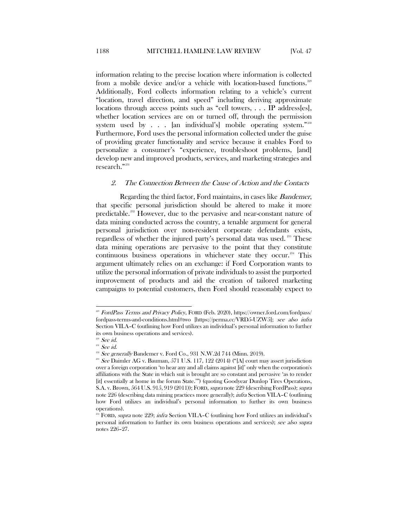information relating to the precise location where information is collected from a mobile device and/or a vehicle with location-based functions.<sup>[229](#page-25-1)</sup> Additionally, Ford collects information relating to a vehicle's current "location, travel direction, and speed" including deriving approximate locations through access points such as "cell towers, . . . IP address[es], whether location services are on or turned off, through the permission system used by  $\ldots$  [an individual's] mobile operating system."<sup>[230](#page-25-2)</sup> Furthermore, Ford uses the personal information collected under the guise of providing greater functionality and service because it enables Ford to personalize a consumer's "experience, troubleshoot problems, [and] develop new and improved products, services, and marketing strategies and research."[231](#page-25-3)

#### <span id="page-25-0"></span>2. The Connection Between the Cause of Action and the Contacts

Regarding the third factor, Ford maintains, in cases like *Bandemer*, that specific personal jurisdiction should be altered to make it more predictable.[232](#page-25-4) However, due to the pervasive and near-constant nature of data mining conducted across the country, a tenable argument for general personal jurisdiction over non-resident corporate defendants exists, regardless of whether the injured party's personal data was used.<sup>[233](#page-25-5)</sup> These data mining operations are pervasive to the point that they constitute continuous business operations in whichever state they occur.<sup>[234](#page-25-6)</sup> This argument ultimately relies on an exchange: if Ford Corporation wants to utilize the personal information of private individuals to assist the purported improvement of products and aid the creation of tailored marketing campaigns to potential customers, then Ford should reasonably expect to

<span id="page-25-1"></span> $^{229}$  FordPass Terms and Privacy Policy, FORD (Feb. 2020),<https://owner.ford.com/fordpass/> fordpass-terms-and-conditions.html#two [https://perma.cc/VRD5-UZW5]; see also infra Section VII.A–C (outlining how Ford utilizes an individual's personal information to further its own business operations and services).

 $230$  See id.

<span id="page-25-3"></span><span id="page-25-2"></span><sup>&</sup>lt;sup>231</sup> See id.

<span id="page-25-4"></span> $222$  See generally Bandemer v. Ford Co., 931 N.W.2d 744 (Minn. 2019).

<span id="page-25-5"></span><sup>&</sup>lt;sup>233</sup> See Daimler AG v. Bauman, 571 U.S. 117, 122 (2014) ("[A] court may assert jurisdiction over a foreign corporation 'to hear any and all claims against [it]' only when the corporation's affiliations with the State in which suit is brought are so constant and pervasive 'as to render [it] essentially at home in the forum State.'") (quoting Goodyear Dunlop Tires Operations, S.A. v. Brown, 564 U.S. 915, 919 (2011)); FORD, supra note 229 (describing FordPass); supra note [226](#page-24-0) (describing data mining practices more generally); infra Section VII.A–C (outlining how Ford utilizes an individual's personal information to further its own business operations).

<span id="page-25-6"></span><sup>&</sup>lt;sup>4</sup> FORD, *supra* note 229; *infra* Section VII.A–C (outlining how Ford utilizes an individual's personal information to further its own business operations and services); see also supra notes [226–](#page-24-0)27.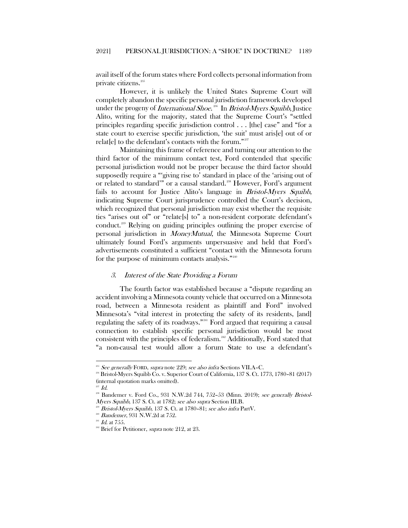avail itself of the forum states where Ford collects personal information from private citizens.[235](#page-26-1)

However, it is unlikely the United States Supreme Court will completely abandon the specific personal jurisdiction framework developed under the progeny of *International Shoe*.<sup>286</sup> In *Bristol-Myers Squibb*, Justice Alito, writing for the majority, stated that the Supreme Court's "settled principles regarding specific jurisdiction control . . . [the] case" and "for a state court to exercise specific jurisdiction, 'the suit' must aris[e] out of or relat[e] to the defendant's contacts with the forum."[237](#page-26-3)

Maintaining this frame of reference and turning our attention to the third factor of the minimum contact test, Ford contended that specific personal jurisdiction would not be proper because the third factor should supposedly require a "'giving rise to' standard in place of the 'arising out of or related to standard'" or a causal standard. [238](#page-26-4) However, Ford's argument fails to account for Justice Alito's language in *Bristol-Myers Squibb*, indicating Supreme Court jurisprudence controlled the Court's decision, which recognized that personal jurisdiction may exist whether the requisite ties "arises out of" or "relate[s] to" a non-resident corporate defendant's conduct.<sup>[239](#page-26-5)</sup> Relying on guiding principles outlining the proper exercise of personal jurisdiction in MoneyMutual, the Minnesota Supreme Court ultimately found Ford's arguments unpersuasive and held that Ford's advertisements constituted a sufficient "contact with the Minnesota forum for the purpose of minimum contacts analysis."[240](#page-26-6)

#### <span id="page-26-0"></span>3. Interest of the State Providing a Forum

The fourth factor was established because a "dispute regarding an accident involving a Minnesota county vehicle that occurred on a Minnesota road, between a Minnesota resident as plaintiff and Ford" involved Minnesota's "vital interest in protecting the safety of its residents, [and] regulating the safety of its roadways."[241](#page-26-7) Ford argued that requiring a causal connection to establish specific personal jurisdiction would be most consistent with the principles of federalism.<sup>[242](#page-26-8)</sup> Additionally, Ford stated that "a non-causal test would allow a forum State to use a defendant's

 $2235$  See generally FORD, supra note 229; see also infra Sections VII.A–C.

<span id="page-26-2"></span><span id="page-26-1"></span><sup>236</sup> Bristol-Myers Squibb Co. v. Superior Court of California, 137 S. Ct. 1773, 1780–81 (2017) (internal quotation marks omitted).

 $^{237}$   $Id.$ 

<span id="page-26-5"></span><span id="page-26-4"></span><span id="page-26-3"></span> $2^{28}$  Bandemer v. Ford Co., 931 N.W.2d 744, 752–53 (Minn. 2019); see generally Bristol-Myers Squibb, 137 S. Ct. at 1782; see also supra Section III.B.

Bristol-Myers Squibb, 137 S. Ct. at 1780–81; see also infra PartV.

<sup>&</sup>lt;sup>240</sup> Bandemer, 931 N.W.2d at 752.

<span id="page-26-8"></span><span id="page-26-7"></span><span id="page-26-6"></span> $^{241}$  *Id.* at 755.

<sup>&</sup>lt;sup>242</sup> Brief for Petitioner, *supra* note [212,](#page-22-3) at 23.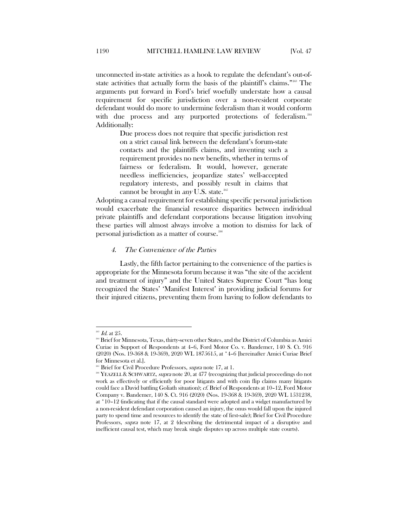unconnected in-state activities as a hook to regulate the defendant's out-ofstate activities that actually form the basis of the plaintiff's claims."[243](#page-27-1) The arguments put forward in Ford's brief woefully understate how a causal requirement for specific jurisdiction over a non-resident corporate defendant would do more to undermine federalism than it would conform with due process and any purported protections of federalism.<sup>[244](#page-27-2)</sup> Additionally:

> <span id="page-27-5"></span>Due process does not require that specific jurisdiction rest on a strict causal link between the defendant's forum-state contacts and the plaintiffs claims, and inventing such a requirement provides no new benefits, whether in terms of fairness or federalism. It would, however, generate needless inefficiencies, jeopardize states' well-accepted regulatory interests, and possibly result in claims that cannot be brought in  $anv$  U.S. state.<sup>[245](#page-27-3)</sup>

Adopting a causal requirement for establishing specific personal jurisdiction would exacerbate the financial resource disparities between individual private plaintiffs and defendant corporations because litigation involving these parties will almost always involve a motion to dismiss for lack of personal jurisdiction as a matter of course.[246](#page-27-4)

#### <span id="page-27-0"></span>4. The Convenience of the Parties

Lastly, the fifth factor pertaining to the convenience of the parties is appropriate for the Minnesota forum because it was "the site of the accident and treatment of injury" and the United States Supreme Court "has long recognized the States' 'Manifest Interest' in providing judicial forums for their injured citizens, preventing them from having to follow defendants to

 $^{243}$  *Id.* at  $25$ .

<span id="page-27-2"></span><span id="page-27-1"></span><sup>&</sup>lt;sup>244</sup> Brief for Minnesota, Texas, thirty-seven other States, and the District of Columbia as Amici Curiae in Support of Respondents at 4–6, Ford Motor Co. v. Bandemer, 140 S. Ct. 916 (2020) (Nos. 19-368 & 19-369), 2020 WL 1875615, at \*4–6 [hereinafter Amici Curiae Brief for Minnesota et al.].

<sup>&</sup>lt;sup>245</sup> Brief for Civil Procedure Professors, *supra* note [17,](#page-3-10) at 1.

<span id="page-27-4"></span><span id="page-27-3"></span><sup>&</sup>lt;sup>246</sup> YEAZELL & SCHWARTZ, *supra* not[e 20,](#page-4-0) at 477 (recognizing that judicial proceedings do not work as effectively or efficiently for poor litigants and with coin flip claims many litigants could face a David battling Goliath situation); cf. Brief of Respondents at 10–12, Ford Motor Company v. Bandemer, 140 S. Ct. 916 (2020) (Nos. 19-368 & 19-369), 2020 WL 1531238, at \*10–12 (indicating that if the causal standard were adopted and a widget manufactured by a non-resident defendant corporation caused an injury, the onus would fall upon the injured party to spend time and resources to identify the state of first-sale); Brief for Civil Procedure Professors, *supra* note [17,](#page-3-10) at 2 (describing the detrimental impact of a disruptive and inefficient causal test, which may break single disputes up across multiple state courts).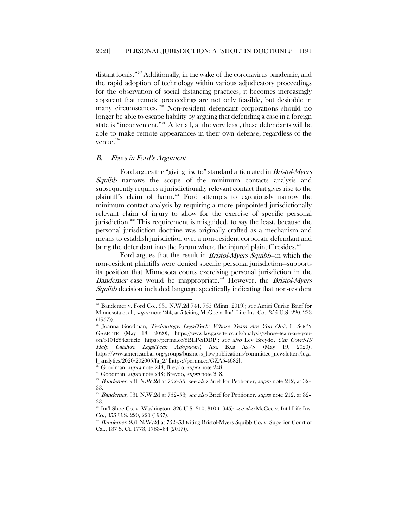distant locals.["247](#page-28-1) Additionally, in the wake of the coronavirus pandemic, and the rapid adoption of technology within various adjudicatory proceedings for the observation of social distancing practices, it becomes increasingly apparent that remote proceedings are not only feasible, but desirable in many circumstances. [248](#page-28-2) Non-resident defendant corporations should no longer be able to escape liability by arguing that defending a case in a foreign state is "inconvenient."[249](#page-28-3) After all, at the very least, these defendants will be able to make remote appearances in their own defense, regardless of the venue.<sup>[250](#page-28-4)</sup>

#### <span id="page-28-0"></span>B. Flaws in Ford's Argument

 $\overline{\phantom{a}}$ 

Ford argues the "giving rise to" standard articulated in Bristol-Myers Squibb narrows the scope of the minimum contacts analysis and subsequently requires a jurisdictionally relevant contact that gives rise to the plaintiff's claim of harm.<sup>[251](#page-28-5)</sup> Ford attempts to egregiously narrow the minimum contact analysis by requiring a more pinpointed jurisdictionally relevant claim of injury to allow for the exercise of specific personal jurisdiction.<sup>[252](#page-28-6)</sup> This requirement is misguided, to say the least, because the personal jurisdiction doctrine was originally crafted as a mechanism and means to establish jurisdiction over a non-resident corporate defendant and bring the defendant into the forum where the injured plaintiff resides.<sup>[253](#page-28-7)</sup>

Ford argues that the result in Bristol-Myers Squibb—in which the non-resident plaintiffs were denied specific personal jurisdiction—supports its position that Minnesota courts exercising personal jurisdiction in the *Bandemer* case would be inappropriate.<sup>[254](#page-28-8)</sup> However, the *Bristol-Myers* Squibb decision included language specifically indicating that non-resident

<span id="page-28-1"></span><sup>&</sup>lt;sup>247</sup> Bandemer v. Ford Co., 931 N.W.2d 744, 755 (Minn. 2019); see Amici Curiae Brief for Minnesota et al., supra not[e 244,](#page-27-5) at 5 (citing McGee v. Int'l Life Ins. Co., 355 U.S. 220, 223 (1957)).

<span id="page-28-2"></span>Joanna Goodman, Technology: LegalTech: Whose Team Are You On?, L. SOC'Y GAZETTE (May 18, 2020), https://www.lawgazette.co.uk/analysis/whose-team-are-youon/5104284.article [https://perma.cc/8BLP-SDDP]; see also Lev Breydo, Can Covid-19 Help Catalyze LegalTech Adoption?, AM. BAR ASS'N (May 19, 2020), https://www.americanbar.org/groups/business\_law/publications/committee\_newsletters/lega l\_analytics/2020/202005/fa\_2/ [https://perma.cc/GZA5-4682].

<span id="page-28-3"></span><sup>&</sup>lt;sup>249</sup> Goodman, *supra* note 248; Breydo, *supra* note 248.

<sup>&</sup>lt;sup>250</sup> Goodman, *supra* note 248; Breydo, *supra* note 248.

<span id="page-28-5"></span><span id="page-28-4"></span> $251$  Bandemer, 931 N.W.2d at 752-55; see also Brief for Petitioner, supra note [212,](#page-22-3) at 32-33.

<span id="page-28-6"></span><sup>&</sup>lt;sup>2</sup> Bandemer, 931 N.W.2d at 752-53; see also Brief for Petitioner, supra note [212,](#page-22-3) at 32-33.

<span id="page-28-7"></span> $^{253}$  Int'l Shoe Co. v. Washington, 326 U.S. 310, 310 (1945); see also McGee v. Int'l Life Ins. Co., 355 U.S. 220, 220 (1957).

<span id="page-28-8"></span> $^{254}$  Bandemer, 931 N.W.2d at 752–53 (citing Bristol-Myers Squibb Co. v. Superior Court of Cal., 137 S. Ct. 1773, 1783–84 (2017)).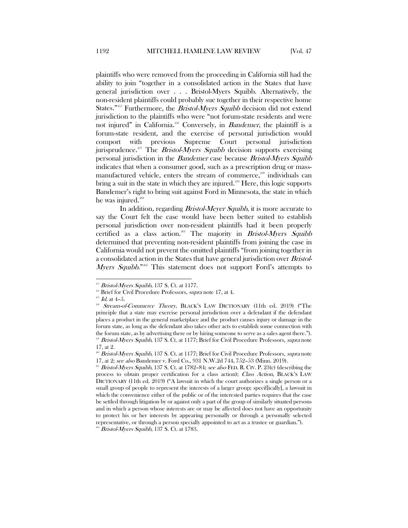plaintiffs who were removed from the proceeding in California still had the ability to join "together in a consolidated action in the States that have general jurisdiction over . . . Bristol-Myers Squibb. Alternatively, the non-resident plaintiffs could probably sue together in their respective home States."<sup>[255](#page-29-0)</sup> Furthermore, the *Bristol-Myers Squibb* decision did not extend jurisdiction to the plaintiffs who were "not forum-state residents and were not injured" in California.<sup>[256](#page-29-1)</sup> Conversely, in *Bandemer*, the plaintiff is a forum-state resident, and the exercise of personal jurisdiction would comport with previous Supreme Court personal jurisdiction jurisprudence.<sup>[257](#page-29-2)</sup> The *Bristol-Myers Squibb* decision supports exercising personal jurisdiction in the Bandemer case because Bristol-Myers Squibb indicates that when a consumer good, such as a prescription drug or mass-manufactured vehicle, enters the stream of commerce,<sup>[258](#page-29-3)</sup> individuals can bring a suit in the state in which they are injured.<sup>[259](#page-29-4)</sup> Here, this logic supports Bandemer's right to bring suit against Ford in Minnesota, the state in which he was injured. $260$ 

In addition, regarding *Bristol-Meyer Squibb*, it is more accurate to say the Court felt the case would have been better suited to establish personal jurisdiction over non-resident plaintiffs had it been properly certified as a class action.<sup>[261](#page-29-6)</sup> The majority in *Bristol-Myers Squibb* determined that preventing non-resident plaintiffs from joining the case in California would not prevent the omitted plaintiffs "from joining together in a consolidated action in the States that have general jurisdiction over Bristol-Myers Squibb."<sup>[262](#page-29-7)</sup> This statement does not support Ford's attempts to

<span id="page-29-7"></span><sup>262</sup> Bristol-Myers Squibb, 137 S. Ct. at 1783.

Bristol-Myers Squibb, 137 S. Ct. at 1177.

<span id="page-29-1"></span><span id="page-29-0"></span><sup>&</sup>lt;sup>256</sup> Brief for Civil Procedure Professors, *supra* note [17,](#page-3-10) at 4.

 $^{257}$   $\emph{Id.}$  at 4–5.

<span id="page-29-3"></span><span id="page-29-2"></span><sup>&</sup>lt;sup>238</sup> Stream-of-Commerce Theory, BLACK'S LAW DICTIONARY (11th ed. 2019) ("The principle that a state may exercise personal jurisdiction over a defendant if the defendant places a product in the general marketplace and the product causes injury or damage in the forum state, as long as the defendant also takes other acts to establish some connection with the forum state, as by advertising there or by hiring someone to serve as a sales agent there."). <sup>259</sup> Bristol-Myers Squibb, 137 S. Ct. at 1177; Brief for Civil Procedure Professors, supra note [17,](#page-3-10) at 2.

<span id="page-29-5"></span><span id="page-29-4"></span><sup>&</sup>lt;sup>260</sup> Bristol-Myers Squibb, 137 S. Ct. at 1177; Brief for Civil Procedure Professors, supra note [17,](#page-3-10) at 2; see also Bandemer v. Ford Co., 931 N.W.2d 744, 752–53 (Minn. 2019).

<span id="page-29-6"></span><sup>&</sup>lt;sup>261</sup> Bristol-Myers Squibb, 137 S. Ct. at 1782–84; see also FED. R. CIV. P. 23(c) (describing the process to obtain proper certification for a class action); Class Action, BLACK'S LAW DICTIONARY (11th ed. 2019) ("A lawsuit in which the court authorizes a single person or a small group of people to represent the interests of a larger group; specif[ically], a lawsuit in which the convenience either of the public or of the interested parties requires that the case be settled through litigation by or against only a part of the group of similarly situated persons and in which a person whose interests are or may be affected does not have an opportunity to protect his or her interests by appearing personally or through a personally selected representative, or through a person specially appointed to act as a trustee or guardian.").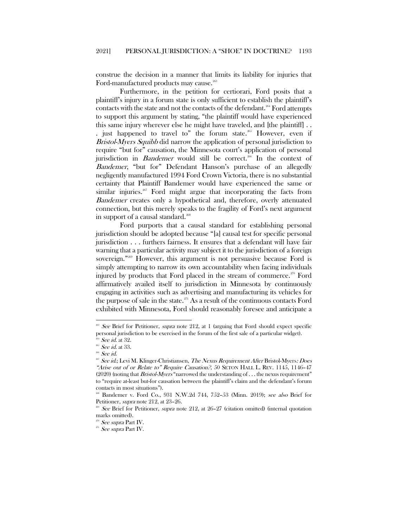construe the decision in a manner that limits its liability for injuries that Ford-manufactured products may cause.<sup>[263](#page-30-0)</sup>

Furthermore, in the petition for certiorari, Ford posits that a plaintiff's injury in a forum state is only sufficient to establish the plaintiff's contacts with the state and not the contacts of the defendant.<sup>[264](#page-30-1)</sup> Ford attempts to support this argument by stating, "the plaintiff would have experienced this same injury wherever else he might have traveled, and [the plaintiff] . .

. just happened to travel to" the forum state.<sup>[265](#page-30-2)</sup> However, even if Bristol-Myers Squibb did narrow the application of personal jurisdiction to require "but for" causation, the Minnesota court's application of personal jurisdiction in *Bandemer* would still be correct.<sup>[266](#page-30-3)</sup> In the context of Bandemer, "but for" Defendant Hanson's purchase of an allegedly negligently manufactured 1994 Ford Crown Victoria, there is no substantial certainty that Plaintiff Bandemer would have experienced the same or similar injuries. $267$  Ford might argue that incorporating the facts from Bandemer creates only a hypothetical and, therefore, overly attenuated connection, but this merely speaks to the fragility of Ford's next argument in support of a causal standard.<sup>[268](#page-30-5)</sup>

Ford purports that a causal standard for establishing personal jurisdiction should be adopted because "[a] causal test for specific personal jurisdiction . . . furthers fairness. It ensures that a defendant will have fair warning that a particular activity may subject it to the jurisdiction of a foreign sovereign."[269](#page-30-6) However, this argument is not persuasive because Ford is simply attempting to narrow its own accountability when facing individuals injured by products that Ford placed in the stream of commerce.<sup>[270](#page-30-7)</sup> Ford affirmatively availed itself to jurisdiction in Minnesota by continuously engaging in activities such as advertising and manufacturing its vehicles for the purpose of sale in the state. $^{271}$  $^{271}$  $^{271}$  As a result of the continuous contacts Ford exhibited with Minnesota, Ford should reasonably foresee and anticipate a

<span id="page-30-0"></span><sup>&</sup>lt;sup>263</sup> See Brief for Petitioner, supra note [212,](#page-22-3) at 1 (arguing that Ford should expect specific personal jurisdiction to be exercised in the forum of the first sale of a particular widget).

<span id="page-30-1"></span> $264$  *See id.* at 32.

<span id="page-30-2"></span> $265$  See id. at 33.

<sup>&</sup>lt;sup>266</sup> See id.

<span id="page-30-4"></span><span id="page-30-3"></span><sup>&</sup>lt;sup>267</sup> See id.; Levi M. Klinger-Christiansen, The Nexus Requirement After Bristol-Myers: Does "Arise out of or Relate to" Require Causation?, 50 SETON HALL L. REV. 1145, 1146–47 (2020) (noting that *Bristol-Myers* "narrowed the understanding of . . . the nexus requirement" to "require at-least but-for causation between the plaintiff's claim and the defendant's forum contacts in most situations").

<span id="page-30-5"></span><sup>268</sup> Bandemer v. Ford Co., 931 N.W.2d 744, 752–53 (Minn. 2019); see also Brief for Petitioner, supra note [212,](#page-22-3) at 23–26.

<span id="page-30-6"></span>See Brief for Petitioner, *supra* note [212,](#page-22-3) at  $26-27$  (citation omitted) (internal quotation marks omitted).

 $270$  See supra Part IV.

<span id="page-30-8"></span><span id="page-30-7"></span> $^{271}$   $See$   $supra$  Part IV.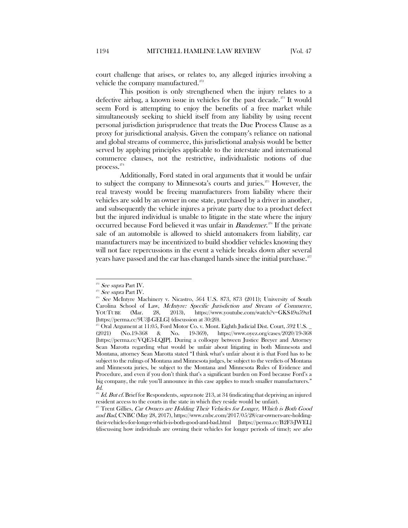court challenge that arises, or relates to, any alleged injuries involving a vehicle the company manufactured.<sup>[272](#page-31-0)</sup>

This position is only strengthened when the injury relates to a defective airbag, a known issue in vehicles for the past decade.<sup>[273](#page-31-1)</sup> It would seem Ford is attempting to enjoy the benefits of a free market while simultaneously seeking to shield itself from any liability by using recent personal jurisdiction jurisprudence that treats the Due Process Clause as a proxy for jurisdictional analysis. Given the company's reliance on national and global streams of commerce, this jurisdictional analysis would be better served by applying principles applicable to the interstate and international commerce clauses, not the restrictive, individualistic notions of due process.<sup>[274](#page-31-2)</sup>

<span id="page-31-6"></span>Additionally, Ford stated in oral arguments that it would be unfair to subject the company to Minnesota's courts and juries.<sup>[275](#page-31-3)</sup> However, the real travesty would be freeing manufacturers from liability where their vehicles are sold by an owner in one state, purchased by a driver in another, and subsequently the vehicle injures a private party due to a product defect but the injured individual is unable to litigate in the state where the injury occurred because Ford believed it was unfair in *Bandemer*.<sup>[276](#page-31-4)</sup> If the private sale of an automobile is allowed to shield automakers from liability, car manufacturers may be incentivized to build shoddier vehicles knowing they will not face repercussions in the event a vehicle breaks down after several years have passed and the car has changed hands since the initial purchase.<sup>[277](#page-31-5)</sup>

See supra Part IV.

<span id="page-31-1"></span><span id="page-31-0"></span> $273$  See supra Part IV.

<span id="page-31-2"></span> $274$  See McIntyre Machinery v. Nicastro, 564 U.S. 873, 873 (2011); University of South Carolina School of Law, McIntyre: Specific Jurisdiction and Stream of Commerce, YOUTUBE (Mar. 28, 2013), https://www.youtube.com/watch?v=GKS49u59xrI [https://perma.cc/9U3J-GELG] (discussion at 30:20).

<span id="page-31-3"></span> $^{275}$  Oral Argument at 11:05, Ford Motor Co. v. Mont. Eighth Judicial Dist. Court, 592 U.S.  $2021$  (No.19-368 & No.  $19\text{-}369$ ), https://www.oyez.org/cases/2020/19-36 (2021) (No.19-368 & No. 19-369), https://www.oyez.org/cases/2020/19-368 [https://perma.cc/VQE3-LQJP]. During a colloquy between Justice Breyer and Attorney Sean Marotta regarding what would be unfair about litigating in both Minnesota and Montana, attorney Sean Marotta stated "I think what's unfair about it is that Ford has to be subject to the rulings of Montana and Minnesota judges, be subject to the verdicts of Montana and Minnesota juries, be subject to the Montana and Minnesota Rules of Evidence and Procedure, and even if you don't think that's a significant burden on Ford because Ford's a big company, the rule you'll announce in this case applies to much smaller manufacturers." Id.

<span id="page-31-4"></span>Id. But cf. Brief for Respondents, supra not[e 213,](#page-22-11) at 34 (indicating that depriving an injured resident access to the courts in the state in which they reside would be unfair).

<span id="page-31-5"></span><sup>277</sup> Trent Gillies, Car Owners are Holding Their Vehicles for Longer, Which is Both Good and Bad, CNBC(May 28, 2017), https://www.cnbc.com/2017/05/28/car-owners-are-holdingtheir-vehicles-for-longer-which-is-both-good-and-bad.html [https://perma.cc/B2F3-JWEL] (discussing how individuals are owning their vehicles for longer periods of time); see also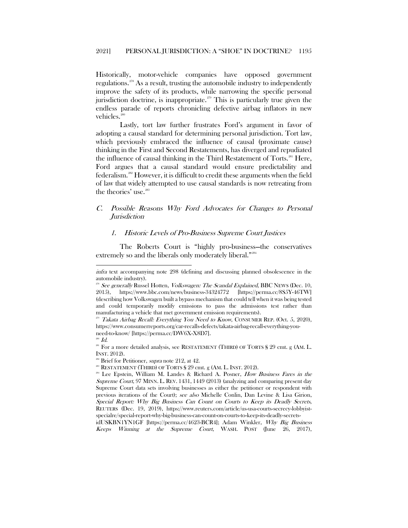<span id="page-32-10"></span>Historically, motor-vehicle companies have opposed government regulations.[278](#page-32-2) As a result, trusting the automobile industry to independently improve the safety of its products, while narrowing the specific personal jurisdiction doctrine, is inappropriate.<sup>[279](#page-32-3)</sup> This is particularly true given the endless parade of reports chronicling defective airbag inflators in new vehicles.<sup>[280](#page-32-4)</sup>

Lastly, tort law further frustrates Ford's argument in favor of adopting a causal standard for determining personal jurisdiction. Tort law, which previously embraced the influence of causal (proximate cause) thinking in the First and Second Restatements, has diverged and repudiated the influence of causal thinking in the Third Restatement of Torts.<sup>[281](#page-32-5)</sup> Here, Ford argues that a causal standard would ensure predictability and federalism[.282](#page-32-6) However, it is difficult to credit these arguments when the field of law that widely attempted to use causal standards is now retreating from the theories' use.<sup>[283](#page-32-7)</sup>

# <span id="page-32-0"></span>C. Possible Reasons Why Ford Advocates for Changes to Personal **Jurisdiction**

#### <span id="page-32-9"></span><span id="page-32-1"></span>1. Historic Levels of Pro-Business Supreme Court Justices

The Roberts Court is "highly pro-business—the conservatives extremely so and the liberals only moderately liberal."<sup>[284](#page-32-8)</sup>

 $\overline{\phantom{a}}$ 

 $288$  RESTATEMENT (THIRD) OF TORTS § 29 cmt. g (AM. L. INST. 2012).

infra text accompanying note [298](#page-35-0) (defining and discussing planned obsolescence in the automobile industry).

<span id="page-32-2"></span> $2^{28}$  See generally Russel Hotten, *Volkswagen: The Scandal Explained*, BBC NEWS (Dec. 10, 2015), https://www.bbc.com/news/business-34324772 [https://perma.cc/8S5Y-46TW] (describing how Volkswagen built a bypass mechanism that could tell when it was being tested and could temporarily modify emissions to pass the admissions test rather than manufacturing a vehicle that met government emission requirements).

<span id="page-32-3"></span> $^{279}$  Takata Airbag Recall: Everything You Need to Know, CONSUMER REP. (Oct. 5, 2020), https://www.consumerreports.org/car-recalls-defects/takata-airbag-recall-everything-youneed-to-know/ [https://perma.cc/DW6X-X8D7].

<span id="page-32-4"></span> $^{280}$  Id.

<span id="page-32-5"></span><sup>&</sup>lt;sup>281</sup> For a more detailed analysis, see RESTATEMENT (THIRD) OF TORTS § 29 cmt. g (AM. L. INST. 2012).

<span id="page-32-6"></span><sup>&</sup>lt;sup>282</sup> Brief for Petitioner, *supra* note [212,](#page-22-3) at 42.

<span id="page-32-8"></span><span id="page-32-7"></span><sup>&</sup>lt;sup>284</sup> Lee Epstein, William M. Landes & Richard A. Posner, How Business Fares in the Supreme Court, 97 MINN. L. REV. 1431, 1449 (2013) (analyzing and comparing present day Supreme Court data sets involving businesses as either the petitioner or respondent with previous iterations of the Court); see also Michelle Conlin, Dan Levine & Lisa Girion, Special Report: Why Big Business Can Count on Courts to Keep its Deadly Secrets, REUTERS (Dec. 19, 2019), https://www.reuters.com/article/us-usa-courts-secrecy-lobbyistspecialre/special-report-why-big-business-can-count-on-courts-to-keep-its-deadly-secrets-

idUSKBN1YN1GF [https://perma.cc/4623-BCR4]; Adam Winkler, Why Big Business Keeps Winning at the Supreme Court, WASH. POST (June 26, 2017),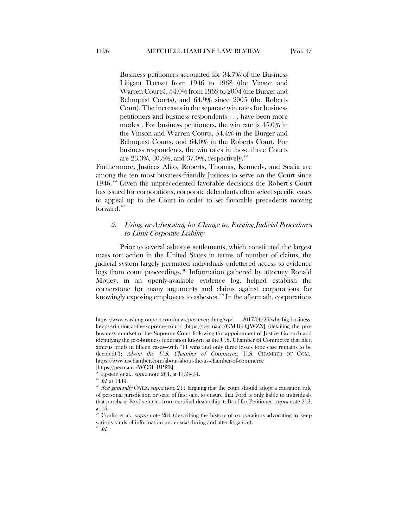Business petitioners accounted for 34.7% of the Business Litigant Dataset from 1946 to 1968 (the Vinson and Warren Courts), 54.0% from 1969 to 2004 (the Burger and Rehnquist Courts), and 64.9% since 2005 (the Roberts Court). The increases in the separate win rates for business petitioners and business respondents . . . have been more modest. For business petitioners, the win rate is 45.0% in the Vinson and Warren Courts, 54.4% in the Burger and Rehnquist Courts, and 64.0% in the Roberts Court. For business respondents, the win rates in those three Courts are 23.3%, 30.5%, and 37.0%, respectively.[285](#page-33-1)

Furthermore, Justices Alito, Roberts, Thomas, Kennedy, and Scalia are among the ten most business-friendly Justices to serve on the Court since 1946.<sup>[286](#page-33-2)</sup> Given the unprecedented favorable decisions the Robert's Court has issued for corporations, corporate defendants often select specific cases to appeal up to the Court in order to set favorable precedents moving forward.<sup>[287](#page-33-3)</sup>

# <span id="page-33-0"></span>2. Using, or Advocating for Change to, Existing Judicial Procedures to Limit Corporate Liability

Prior to several asbestos settlements, which constituted the largest mass tort action in the United States in terms of number of claims, the judicial system largely permitted individuals unfettered access to evidence logs from court proceedings. [288](#page-33-4) Information gathered by attorney Ronald Motley, in an openly-available evidence log, helped establish the cornerstone for many arguments and claims against corporations for knowingly exposing employees to asbestos.<sup>[289](#page-33-5)</sup> In the aftermath, corporations

l

<https://www.washingtonpost.com/news/posteverything/wp/> 2017/06/26/why-big-businesskeeps-winning-at-the-supreme-court/ [https://perma.cc/GM4G-QWZX] (detailing the probusiness mindset of the Supreme Court following the appointment of Justice Gorsuch and identifying the pro-business federation known as the U.S. Chamber of Commerce that filed amicus briefs in fifteen cases—with "11 wins and only three losses (one case remains to be decided)"); About the U.S. Chamber of Commerce, U.S. CHAMBER OF COM., https://www.uschamber.com/about/about-the-us-chamber-of-commerce

<span id="page-33-1"></span><sup>[</sup>https://perma.cc/WG5L-BPRE].<br><sup>285</sup> Epstein et al., *supra* not[e 284,](#page-32-9) at 1453–54.<br><sup>286</sup> Id. at 1449.

<span id="page-33-3"></span><span id="page-33-2"></span><sup>&</sup>lt;sup>287</sup> See generally OYEZ, supra note [211](#page-22-12) (arguing that the court should adopt a causation rule of personal jurisdiction or state of first sale, to ensure that Ford is only liable to individuals that purchase Ford vehicles from certified dealerships); Brief for Petitioner, supra not[e 212,](#page-22-3) at 15.

<span id="page-33-5"></span><span id="page-33-4"></span>Conlin et al., *supra* note [284](#page-32-9) (describing the history of corporations advocating to keep various kinds of information under seal during and after litigation).

 $^{289}$   $Id.$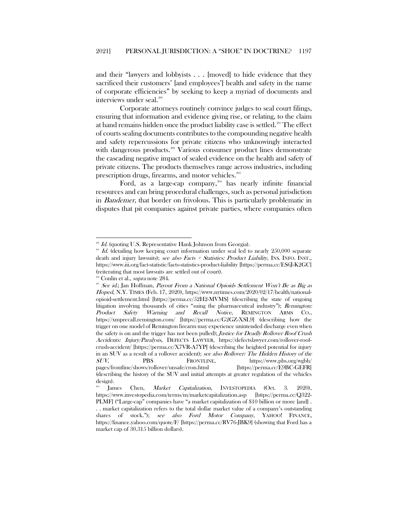and their "lawyers and lobbyists . . . [moved] to hide evidence that they sacrificed their customers' [and employees'] health and safety in the name of corporate efficiencies" by seeking to keep a myriad of documents and interviews under seal.<sup>[290](#page-34-0)</sup>

<span id="page-34-5"></span>Corporate attorneys routinely convince judges to seal court filings, ensuring that information and evidence giving rise, or relating, to the claim at hand remains hidden once the product liability case is settled.<sup>[291](#page-34-1)</sup> The effect of courts sealing documents contributes to the compounding negative health and safety repercussions for private citizens who unknowingly interacted with dangerous products.<sup>[292](#page-34-2)</sup> Various consumer product lines demonstrate the cascading negative impact of sealed evidence on the health and safety of private citizens. The products themselves range across industries, including prescription drugs, firearms, and motor vehicles.<sup>[293](#page-34-3)</sup>

Ford, as a large-cap company,<sup>[294](#page-34-4)</sup> has nearly infinite financial resources and can bring procedural challenges, such as personal jurisdiction in Bandemer, that border on frivolous. This is particularly problematic in disputes that pit companies against private parties, where companies often

Id. (quoting U.S. Representative Hank Johnson from Georgia).

<span id="page-34-1"></span><span id="page-34-0"></span> $291$  Id. (detailing how keeping court information under seal led to nearly 250,000 separate death and injury lawsuits); see also Facts  $+$  Statistics: Product Liability, INS. INFO. INST., https://www.iii.org/fact-statistic/facts-statistics-product-liability [https://perma.cc/ES6J-K2GC] (reiterating that most lawsuits are settled out of court).

<span id="page-34-3"></span><span id="page-34-2"></span><sup>&</sup>lt;sup>292</sup> Conlin et al., *supra* note 284.<br><sup>293</sup> *See id.*; Jan Hoffman, *Payout From a National Opioids Settlement Won't Be as Big as* Hoped, N.Y. TIMES (Feb. 17, 2020), https://www.nytimes.com/2020/02/17/health/nationalopioid-settlement.html [https://perma.cc/52H2-MVMS] (describing the state of ongoing litigation involving thousands of cities "suing the pharmaceutical industry"); Remington: Product Safety Warning and Recall Notice, REMINGTON ARMS CO., https://xmprecall.remington.com/ [https://perma.cc/G2GZ-XSL9] (describing how the trigger on one model of Remington firearm may experience unintended discharge even when the safety is on and the trigger has not been pulled); Justice for Deadly Rollover Roof Crush Accidents: Injury/Paralysis, DEFECTS LAWYER, https://defectslawyer.com/rollover-roofcrush-accident/ [https://perma.cc/X7VR-A7YP] (describing the heighted potential for injury in an SUV as a result of a rollover accident); see also Rollover: The Hidden History of the SUV, PBS FRONTLINE, <https://www.pbs.org/wgbh/> pages/frontline/shows/rollover/unsafe/cron.html [https://perma.cc/E9BC-GEFR] (describing the history of the SUV and initial attempts at greater regulation of the vehicles

design).

<span id="page-34-4"></span>James Chen, Market Capitalization, INVESTOPEDIA (Oct. 3. 2020), https://www.investopedia.com/terms/m/marketcapitalization.asp [https://perma.cc/Q322- PLMF] ("Large-cap" companies have "a market capitalization of \$10 billion or more [and] . . . market capitalization refers to the total dollar market value of a company's outstanding shares of stock."); see also Ford Motor Company, YAHOO! FINANCE, https://finance.yahoo.com/quote/F/ [https://perma.cc/RV76-JBK9] (showing that Ford has a market cap of 30.315 billion dollars).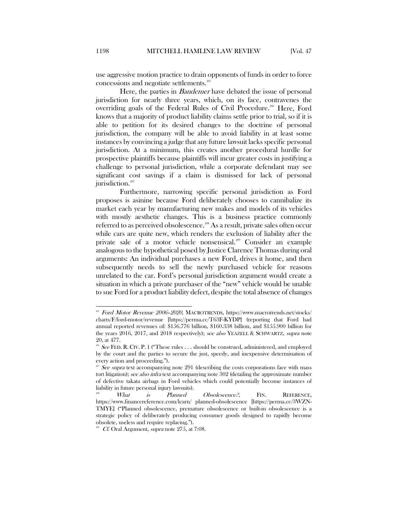use aggressive motion practice to drain opponents of funds in order to force concessions and negotiate settlements. $295$ 

Here, the parties in *Bandemer* have debated the issue of personal jurisdiction for nearly three years, which, on its face, contravenes the overriding goals of the Federal Rules of Civil Procedure.[296](#page-35-2) Here, Ford knows that a majority of product liability claims settle prior to trial, so if it is able to petition for its desired changes to the doctrine of personal jurisdiction, the company will be able to avoid liability in at least some instances by convincing a judge that any future lawsuit lacks specific personal jurisdiction. At a minimum, this creates another procedural hurdle for prospective plaintiffs because plaintiffs will incur greater costs in justifying a challenge to personal jurisdiction, while a corporate defendant may see significant cost savings if a claim is dismissed for lack of personal jurisdiction.<sup>[297](#page-35-3)</sup>

<span id="page-35-0"></span>Furthermore, narrowing specific personal jurisdiction as Ford proposes is asinine because Ford deliberately chooses to cannibalize its market each year by manufacturing new makes and models of its vehicles with mostly aesthetic changes. This is a business practice commonly referred to as perceived obsolescence.<sup>[298](#page-35-4)</sup> As a result, private sales often occur while cars are quite new, which renders the exclusion of liability after the private sale of a motor vehicle nonsensical.<sup>[299](#page-35-5)</sup> Consider an example analogous to the hypothetical posed by Justice Clarence Thomas during oral arguments: An individual purchases a new Ford, drives it home, and then subsequently needs to sell the newly purchased vehicle for reasons unrelated to the car. Ford's personal jurisdiction argument would create a situation in which a private purchaser of the "new" vehicle would be unable to sue Ford for a product liability defect, despite the total absence of changes

<span id="page-35-1"></span> $^{295}$  *Ford Motor Revenue 2006–2020,* MACROTRENDS,<https://www.macrotrends.net/stocks/> charts/F/ford-motor/revenue [https://perma.cc/T63F-KYDP] (reporting that Ford had annual reported revenues of: \$156.776 billion, \$160.338 billion, and \$155.900 billion for the years 2016, 2017, and 2018 respectively); see also YEAZELL & SCHWARTZ, supra note [20,](#page-4-0) at 477.

<span id="page-35-2"></span><sup>&</sup>lt;sup>296</sup> See FED. R. CIV. P. 1 ("These rules ... should be construed, administered, and employed by the court and the parties to secure the just, speedy, and inexpensive determination of every action and proceeding.").

<span id="page-35-3"></span> $\omega$  *See supra* text accompanying note [291](#page-34-5) (describing the costs corporations face with mass tort litigation); see also infra text accompanying not[e 302](#page-36-0) (detailing the approximate number of defective takata airbags in Ford vehicles which could potentially become instances of liability in future personal injury lawsuits).

<span id="page-35-4"></span>What is Planned Obsolescence?, FIN. REFERENCE, <https://www.financereference.com/learn/> planned-obsolescence [https://perma.cc/3WZN-TMYE] ("Planned obsolescence, premature obsolescence or built-in obsolescence is a strategic policy of deliberately producing consumer goods designed to rapidly become obsolete, useless and require replacing.").

<span id="page-35-5"></span> $299$  *Cf.* Oral Argument, *supra* not[e 275,](#page-31-6) at 7:08.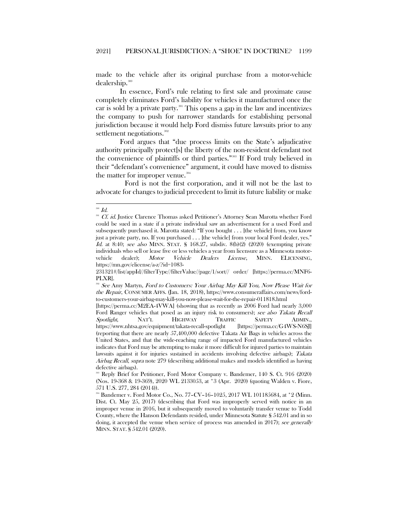made to the vehicle after its original purchase from a motor-vehicle dealership.<sup>[300](#page-36-1)</sup>

In essence, Ford's rule relating to first sale and proximate cause completely eliminates Ford's liability for vehicles it manufactured once the car is sold by a private party.[301](#page-36-2) This opens a gap in the law and incentivizes the company to push for narrower standards for establishing personal jurisdiction because it would help Ford dismiss future lawsuits prior to any settlement negotiations.<sup>302</sup>

<span id="page-36-0"></span>Ford argues that "due process limits on the State's adjudicative authority principally protect[s] the liberty of the non-resident defendant not the convenience of plaintiffs or third parties."<sup>[303](#page-36-4)</sup> If Ford truly believed in their "defendant's convenience" argument, it could have moved to dismiss the matter for improper venue.<sup>[304](#page-36-5)</sup>

Ford is not the first corporation, and it will not be the last to advocate for changes to judicial precedent to limit its future liability or make

<span id="page-36-2"></span><span id="page-36-1"></span> $^{300}$   $\emph{Id}.$ 

<sup>301</sup> Cf. id. Justice Clarence Thomas asked Petitioner's Attorney Sean Marotta whether Ford could be sued in a state if a private individual saw an advertisement for a used Ford and subsequently purchased it. Marotta stated: "If you bought . . . [the vehicle] from, you know just a private party, no. If you purchased . . . [the vehicle] from your local Ford dealer, yes." Id. at 8:40; see also MINN. STAT.  $\S$  168.27, subdiv. 8(b)(2) (2020) (exempting private individuals who sell or lease five or less vehicles a year from licensure as a Minnesota motorvehicle dealer); Motor Vehicle Dealers License, MINN. ELICENSING, [https://mn.gov/elicense/a-z/?id=1083-](https://mn.gov/elicense/a-z/?id=1083-231321#/list/appId//filterType//filterValue//page/1/sort//)

[<sup>231321#/</sup>list/appId//filterType//filterValue//page/1/sort//](https://mn.gov/elicense/a-z/?id=1083-231321#/list/appId//filterType//filterValue//page/1/sort//) order/ [https://perma.cc/MNF6- PLXR].

<span id="page-36-3"></span>See Amy Martyn, Ford to Customers: Your Airbag May Kill You, Now Please Wait for the Repair, CONSUMER AFFS. (Jan. 18, 2018), https://www.consumeraffairs.com/news/fordto-customers-your-airbag-may-kill-you-now-please-wait-for-the-repair-011818.html

<sup>[</sup>https://perma.cc/M2EA-4VWA] (showing that as recently as 2006 Ford had nearly 3,000 Ford Ranger vehicles that posed as an injury risk to consumers); see also Takata Recall Spotlight, NAT'L HIGHWAY TRAFFIC SAFETY ADMIN., https://www.nhtsa.gov/equipment/takata-recall-spotlight [https://perma.cc/G4WS-N6SJ] (reporting that there are nearly 57,400,000 defective Takata Air Bags in vehicles across the United States, and that the wide-reaching range of impacted Ford manufactured vehicles indicates that Ford may be attempting to make it more difficult for injured parties to maintain lawsuits against it for injuries sustained in accidents involving defective airbags); Takata Airbag Recall, supra note [279](#page-32-10) (describing additional makes and models identified as having defective airbags).

<span id="page-36-4"></span><sup>303</sup> Reply Brief for Petitioner, Ford Motor Company v. Bandemer, 140 S. Ct. 916 (2020) (Nos. 19-368 & 19-369), 2020 WL 2133053, at \*3 (Apr. 2020) (quoting Walden v. Fiore, 571 U.S. 277, 284 (2014)).

<span id="page-36-5"></span> $304$  Bandemer v. Ford Motor Co., No. 77–CV–16–1025, 2017 WL 101185684, at  $*2$  (Minn. Dist. Ct. May 25, 2017) (describing that Ford was improperly served with notice in an improper venue in 2016, but it subsequently moved to voluntarily transfer venue to Todd County, where the Hanson Defendants resided, under Minnesota Statute § 542.01 and in so doing, it accepted the venue when service of process was amended in 2017); see generally MINN. STAT. § 542.01 (2020).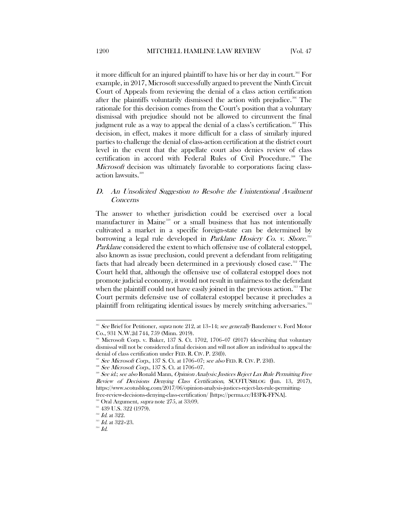it more difficult for an injured plaintiff to have his or her day in court.<sup>[305](#page-37-1)</sup> For example, in 2017, Microsoft successfully argued to prevent the Ninth Circuit Court of Appeals from reviewing the denial of a class action certification after the plaintiffs voluntarily dismissed the action with prejudice.<sup>[306](#page-37-2)</sup> The rationale for this decision comes from the Court's position that a voluntary dismissal with prejudice should not be allowed to circumvent the final judgment rule as a way to appeal the denial of a class's certification.<sup>[307](#page-37-3)</sup> This decision, in effect, makes it more difficult for a class of similarly injured parties to challenge the denial of class-action certification at the district court level in the event that the appellate court also denies review of class certification in accord with Federal Rules of Civil Procedure.<sup>[308](#page-37-4)</sup> The Microsoft decision was ultimately favorable to corporations facing class-action lawsuits.<sup>[309](#page-37-5)</sup>

# <span id="page-37-0"></span>D. An Unsolicited Suggestion to Resolve the Unintentional Availment Concerns

The answer to whether jurisdiction could be exercised over a local manufacturer in Maine<sup>[310](#page-37-6)</sup> or a small business that has not intentionally cultivated a market in a specific foreign-state can be determined by borrowing a legal rule developed in *Parklane Hosiery Co. v. Shore*.<sup>[311](#page-37-7)</sup> Parklane considered the extent to which offensive use of collateral estoppel, also known as issue preclusion, could prevent a defendant from relitigating facts that had already been determined in a previously closed case.<sup>[312](#page-37-8)</sup> The Court held that, although the offensive use of collateral estoppel does not promote judicial economy, it would not result in unfairness to the defendant when the plaintiff could not have easily joined in the previous action.<sup>313</sup> The Court permits defensive use of collateral estoppel because it precludes a plaintiff from relitigating identical issues by merely switching adversaries.<sup>[314](#page-37-10)</sup>

<span id="page-37-1"></span><sup>&</sup>lt;sup>305</sup> See Brief for Petitioner, supra note [212,](#page-22-3) at 13–14; see generally Bandemer v. Ford Motor Co., 931 N.W.2d 744, 759 (Minn. 2019).

<span id="page-37-2"></span> $\%$  Microsoft Corp. v. Baker, 137 S. Ct. 1702, 1706–07 (2017) (describing that voluntary dismissal will not be considered a final decision and will not allow an individual to appeal the denial of class certification under FED. R. CIV. P. 23(f)).

<span id="page-37-3"></span> $307$  See Microsoft Corp., 137 S. Ct. at 1706–07; see also FED. R. CIV. P. 23(f).

<sup>308</sup> See Microsoft Corp., 137 S. Ct. at 1706-07.

<span id="page-37-5"></span><span id="page-37-4"></span><sup>&</sup>lt;sup>309</sup> See id.; see also Ronald Mann, Opinion Analysis: Justices Reject Lax Rule Permitting Free Review of Decisions Denying Class Certification, SCOTUSBLOG (Jun. 13, 2017), https://www.scotusblog.com/2017/06/opinion-analysis-justices-reject-lax-rule-permittingfree-review-decisions-denying-class-certification/ [https://perma.cc/H3FK-FFNA].<br><sup>310</sup> Oral Argument, *supra* note [275,](#page-31-6) at 33:09.

<span id="page-37-6"></span>

<sup>&</sup>lt;sup>311</sup> 439 U.S. 322 (1979).

 $^{312}$  Id. at 322.

<span id="page-37-10"></span><span id="page-37-9"></span><span id="page-37-8"></span><span id="page-37-7"></span> $^{313}$  *Id.* at 322-23.

 $^{314}$   $\emph{Id.}$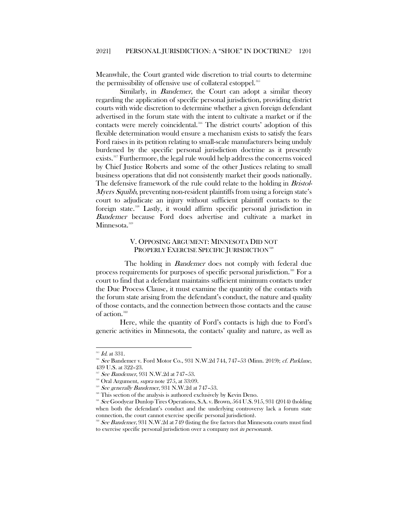Meanwhile, the Court granted wide discretion to trial courts to determine the permissibility of offensive use of collateral estoppel.<sup>[315](#page-38-1)</sup>

Similarly, in *Bandemer*, the Court can adopt a similar theory regarding the application of specific personal jurisdiction, providing district courts with wide discretion to determine whether a given foreign defendant advertised in the forum state with the intent to cultivate a market or if the contacts were merely coincidental.<sup>[316](#page-38-2)</sup> The district courts' adoption of this flexible determination would ensure a mechanism exists to satisfy the fears Ford raises in its petition relating to small-scale manufacturers being unduly burdened by the specific personal jurisdiction doctrine as it presently exists.[317](#page-38-3) Furthermore, the legal rule would help address the concerns voiced by Chief Justice Roberts and some of the other Justices relating to small business operations that did not consistently market their goods nationally. The defensive framework of the rule could relate to the holding in *Bristol-*Myers Squibb, preventing non-resident plaintiffs from using a foreign state's court to adjudicate an injury without sufficient plaintiff contacts to the foreign state.[318](#page-38-4) Lastly, it would affirm specific personal jurisdiction in Bandemer because Ford does advertise and cultivate a market in Minnesota.<sup>[319](#page-38-5)</sup>

# V. OPPOSING ARGUMENT: MINNESOTA DID NOT PROPERLY EXERCISE SPECIFIC JURISDICTION<sup>[320](#page-38-6)</sup>

<span id="page-38-0"></span>The holding in *Bandemer* does not comply with federal due process requirements for purposes of specific personal jurisdiction.<sup>[321](#page-38-7)</sup> For a court to find that a defendant maintains sufficient minimum contacts under the Due Process Clause, it must examine the quantity of the contacts with the forum state arising from the defendant's conduct, the nature and quality of those contacts, and the connection between those contacts and the cause of action.<sup>[322](#page-38-8)</sup>

Here, while the quantity of Ford's contacts is high due to Ford's generic activities in Minnesota, the contacts' quality and nature, as well as

 $^{315}$  *Id.* at 331.

<span id="page-38-3"></span><span id="page-38-2"></span><span id="page-38-1"></span> $316$  See Bandemer v. Ford Motor Co., 931 N.W.2d 744, 747-53 (Minn. 2019); cf. Parklane, 439 U.S. at 322–23.

See Bandemer, 931 N.W.2d at 747-53.

<span id="page-38-4"></span><sup>&</sup>lt;sup>318</sup> Oral Argument, *supra* note [275,](#page-31-6) at 33:09.

<span id="page-38-5"></span><sup>319</sup> See generally Bandemer, 931 N.W.2d at 747-53.

This section of the analysis is authored exclusively by Kevin Deno.

<span id="page-38-7"></span><span id="page-38-6"></span> $321$  See Goodyear Dunlop Tires Operations, S.A. v. Brown, 564 U.S. 915, 931 (2014) (holding when both the defendant's conduct and the underlying controversy lack a forum state connection, the court cannot exercise specific personal jurisdiction).

<span id="page-38-8"></span> $\overline{322}$  See Bandemer,  $931$  N.W.2d at 749 (listing the five factors that Minnesota courts must find to exercise specific personal jurisdiction over a company not in personam).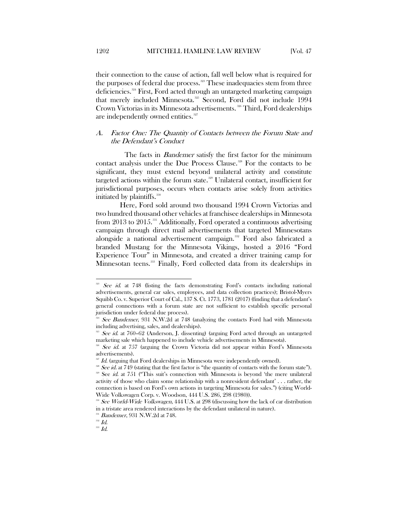their connection to the cause of action, fall well below what is required for the purposes of federal due process.<sup>[323](#page-39-1)</sup> These inadequacies stem from three deficiencies.[324](#page-39-2) First, Ford acted through an untargeted marketing campaign that merely included Minnesota.<sup>[325](#page-39-3)</sup> Second, Ford did not include 1994 Crown Victorias in its Minnesota advertisements.<sup>[326](#page-39-4)</sup> Third, Ford dealerships are independently owned entities.<sup>327</sup>

#### <span id="page-39-0"></span>A. Factor One: The Quantity of Contacts between the Forum State and the Defendant's Conduct

The facts in *Bandemer* satisfy the first factor for the minimum contact analysis under the Due Process Clause.<sup>[328](#page-39-6)</sup> For the contacts to be significant, they must extend beyond unilateral activity and constitute targeted actions within the forum state.<sup>[329](#page-39-7)</sup> Unilateral contact, insufficient for jurisdictional purposes, occurs when contacts arise solely from activities initiated by plaintiffs.<sup>[330](#page-39-8)</sup>

Here, Ford sold around two thousand 1994 Crown Victorias and two hundred thousand other vehicles at franchisee dealerships in Minnesota from 2013 to 2015.<sup>[331](#page-39-9)</sup> Additionally, Ford operated a continuous advertising campaign through direct mail advertisements that targeted Minnesotans alongside a national advertisement campaign.[332](#page-39-10) Ford also fabricated a branded Mustang for the Minnesota Vikings, hosted a 2016 "Ford Experience Tour" in Minnesota, and created a driver training camp for Minnesotan teens.<sup>[333](#page-39-11)</sup> Finally, Ford collected data from its dealerships in

<span id="page-39-1"></span> $\overline{3}\overline{2}\overline{3}$ See id. at 748 (listing the facts demonstrating Ford's contacts including national advertisements, general car sales, employees, and data collection practices); Bristol-Myers Squibb Co. v. Superior Court of Cal., 137 S. Ct. 1773, 1781 (2017) (finding that a defendant's general connections with a forum state are not sufficient to establish specific personal jurisdiction under federal due process).

<span id="page-39-2"></span><sup>&</sup>lt;sup>24</sup> See Bandemer, 931 N.W.2d at 748 (analyzing the contacts Ford had with Minnesota including advertising, sales, and dealerships).

<span id="page-39-3"></span>See id. at 760-62 (Anderson, J. dissenting) (arguing Ford acted through an untargeted marketing sale which happened to include vehicle advertisements in Minnesota).

<span id="page-39-4"></span>See id. at 757 (arguing the Crown Victoria did not appear within Ford's Minnesota advertisements).

 $327$  Id. (arguing that Ford dealerships in Minnesota were independently owned).

<span id="page-39-7"></span><span id="page-39-6"></span><span id="page-39-5"></span><sup>&</sup>lt;sup>328</sup> See id. at 749 (stating that the first factor is "the quantity of contacts with the forum state"). <sup>329</sup> See id. at 751 ("This suit's connection with Minnesota is beyond 'the mere unilateral activity of those who claim some relationship with a nonresident defendant' . . . rather, the connection is based on Ford's own actions in targeting Minnesota for sales.") (citing World-Wide Volkswagen Corp. v. Woodson, 444 U.S. 286, 298 (1980)).

<span id="page-39-8"></span><sup>&</sup>lt;sup>330</sup> See World-Wide Volkswagen, 444 U.S. at 298 (discussing how the lack of car distribution in a tristate area rendered interactions by the defendant unilateral in nature).

<sup>&</sup>lt;sup>331</sup> Bandemer, 931 N.W.2d at 748.

<span id="page-39-10"></span><span id="page-39-9"></span> $332$   $Id.$ 

<span id="page-39-11"></span> $^{\rm 333}$  Id.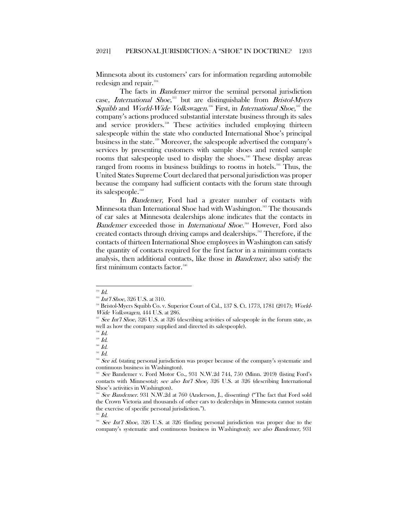Minnesota about its customers' cars for information regarding automobile redesign and repair.<sup>[334](#page-40-0)</sup>

The facts in *Bandemer* mirror the seminal personal jurisdiction case, *International Shoe*,<sup>[335](#page-40-1)</sup> but are distinguishable from *Bristol-Myers* Squibb and World-Wide Volkswagen.<sup>[336](#page-40-2)</sup> First, in *International Shoe*,<sup>[337](#page-40-3)</sup> the company's actions produced substantial interstate business through its sales and service providers.<sup>[338](#page-40-4)</sup> These activities included employing thirteen salespeople within the state who conducted International Shoe's principal business in the state[.339](#page-40-5) Moreover, the salespeople advertised the company's services by presenting customers with sample shoes and rented sample rooms that salespeople used to display the shoes.<sup>[340](#page-40-6)</sup> These display areas ranged from rooms in business buildings to rooms in hotels.<sup>[341](#page-40-7)</sup> Thus, the United States Supreme Court declared that personal jurisdiction was proper because the company had sufficient contacts with the forum state through its salespeople.<sup>[342](#page-40-8)</sup>

In *Bandemer*, Ford had a greater number of contacts with Minnesota than International Shoe had with Washington.<sup>[343](#page-40-9)</sup> The thousands of car sales at Minnesota dealerships alone indicates that the contacts in Bandemer exceeded those in *International Shoe*.<sup>[344](#page-40-10)</sup> However, Ford also created contacts through driving camps and dealerships.[345](#page-40-11) Therefore, if the contacts of thirteen International Shoe employees in Washington can satisfy the quantity of contacts required for the first factor in a minimum contacts analysis, then additional contacts, like those in Bandemer, also satisfy the first minimum contacts factor.<sup>[346](#page-40-12)</sup>

 $^{334}$   $Id.$ 

<span id="page-40-2"></span><span id="page-40-1"></span><span id="page-40-0"></span><sup>&</sup>lt;sup>335</sup> Int'l Shoe, 326 U.S. at 310.

<sup>336</sup> Bristol-Myers Squibb Co. v. Superior Court of Cal., 137 S. Ct. 1773, 1781 (2017); World-Wide Volkswagen, 444 U.S. at 286.

<span id="page-40-3"></span><sup>&</sup>lt;sup>337</sup> See Int'l Shoe, 326 U.S. at 326 (describing activities of salespeople in the forum state, as well as how the company supplied and directed its salespeople).

 $^{338}$  *Id.* 

<span id="page-40-5"></span><span id="page-40-4"></span> $^{339}$   $\emph{Id.}$ 

<span id="page-40-6"></span> $^{340}$   $\emph{Id.}$ 

<span id="page-40-8"></span><span id="page-40-7"></span> $^{341}$  Id.

<sup>&</sup>lt;sup>342</sup> See id. (stating personal jurisdiction was proper because of the company's systematic and continuous business in Washington).

<span id="page-40-9"></span>See Bandemer v. Ford Motor Co., 931 N.W.2d 744, 750 (Minn. 2019) (listing Ford's contacts with Minnesota); see also Int'l Shoe, 326 U.S. at 326 (describing International Shoe's activities in Washington).

<span id="page-40-10"></span>See Bandemer. 931 N.W.2d at 760 (Anderson, J., dissenting) ("The fact that Ford sold the Crown Victoria and thousands of other cars to dealerships in Minnesota cannot sustain the exercise of specific personal jurisdiction.").

 $345$  *Id.* 

<span id="page-40-12"></span><span id="page-40-11"></span><sup>&</sup>lt;sup>346</sup> See Int'l Shoe, 326 U.S. at 326 (finding personal jurisdiction was proper due to the company's systematic and continuous business in Washington); see also Bandemer, 931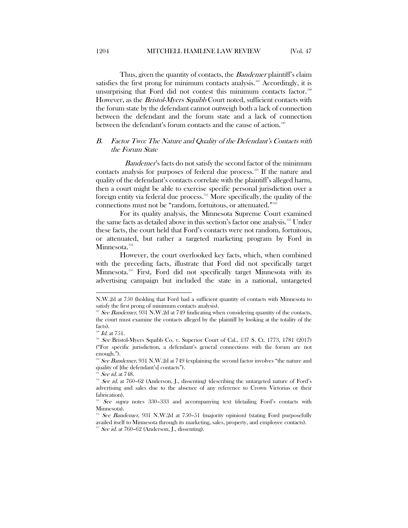Thus, given the quantity of contacts, the *Bandemer* plaintiff's claim satisfies the first prong for minimum contacts analysis.<sup> $347$ </sup> Accordingly, it is unsurprising that Ford did not contest this minimum contacts factor.<sup>[348](#page-41-2)</sup> However, as the *Bristol-Myers Squibb* Court noted, sufficient contacts with the forum state by the defendant cannot outweigh both a lack of connection between the defendant and the forum state and a lack of connection between the defendant's forum contacts and the cause of action.<sup>[349](#page-41-3)</sup>

# <span id="page-41-0"></span>B. Factor Two: The Nature and Quality of the Defendant's Contacts with the Forum State

Bandemer's facts do not satisfy the second factor of the minimum contacts analysis for purposes of federal due process.[350](#page-41-4) If the nature and quality of the defendant's contacts correlate with the plaintiff's alleged harm, then a court might be able to exercise specific personal jurisdiction over a foreign entity via federal due process.<sup>[351](#page-41-5)</sup> More specifically, the quality of the connections must not be "random, fortuitous, or attenuated."<sup>[352](#page-41-6)</sup>

For its quality analysis, the Minnesota Supreme Court examined the same facts as detailed above in this section's factor one analysis.<sup>353</sup> Under these facts, the court held that Ford's contacts were not random, fortuitous, or attenuated, but rather a targeted marketing program by Ford in Minnesota.<sup>[354](#page-41-8)</sup>

However, the court overlooked key facts, which, when combined with the preceding facts, illustrate that Ford did not specifically target Minnesota.[355](#page-41-9) First, Ford did not specifically target Minnesota with its advertising campaign but included the state in a national, untargeted

N.W.2d at 750 (holding that Ford had a sufficient quantity of contacts with Minnesota to satisfy the first prong of minimum contacts analysis).

<span id="page-41-1"></span><sup>&</sup>lt;sup>347</sup> See Bandemer, 931 N.W.2d at 749 (indicating when considering quantity of the contacts, the court must examine the contacts alleged by the plaintiff by looking at the totality of the facts).

 $^{348}$  *Id.* at 751.

<span id="page-41-3"></span><span id="page-41-2"></span><sup>319</sup> See Bristol-Myers Squibb Co. v. Superior Court of Cal., 137 S. Ct. 1773, 1781 (2017) ("For specific jurisdiction, a defendant's general connections with the forum are not enough.").

<span id="page-41-4"></span> $\frac{350}{10}$  See Bandemer, 931 N.W.2d at 749 (explaining the second factor involves "the nature and quality of [the defendant's] contacts").

See id. at 748.

<span id="page-41-6"></span><span id="page-41-5"></span><sup>&</sup>lt;sup>352</sup> See id. at 760-62 (Anderson, J., dissenting) (describing the untargeted nature of Ford's advertising and sales due to the absence of any reference to Crown Victorias or their fabrication).

<span id="page-41-7"></span>See supra notes 330–333 and accompanying text (detailing Ford's contacts with Minnesota).

<span id="page-41-9"></span><span id="page-41-8"></span>See Bandemer, 931 N.W.2d at 750-51 (majority opinion) (stating Ford purposefully availed itself to Minnesota through its marketing, sales, property, and employee contacts).

 $355$  See id. at 760–62 (Anderson, J., dissenting).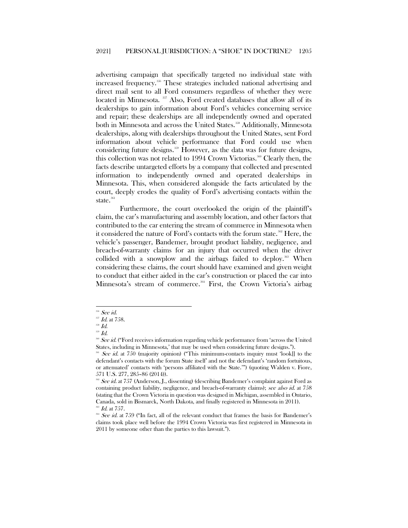advertising campaign that specifically targeted no individual state with increased frequency.<sup>[356](#page-42-0)</sup> These strategies included national advertising and direct mail sent to all Ford consumers regardless of whether they were located in Minnesota. <sup>[357](#page-42-1)</sup> Also, Ford created databases that allow all of its dealerships to gain information about Ford's vehicles concerning service and repair; these dealerships are all independently owned and operated both in Minnesota and across the United States.<sup>[358](#page-42-2)</sup> Additionally, Minnesota dealerships, along with dealerships throughout the United States, sent Ford information about vehicle performance that Ford could use when considering future designs.<sup>[359](#page-42-3)</sup> However, as the data was for future designs, this collection was not related to 1994 Crown Victorias.<sup>[360](#page-42-4)</sup> Clearly then, the facts describe untargeted efforts by a company that collected and presented information to independently owned and operated dealerships in Minnesota. This, when considered alongside the facts articulated by the court, deeply erodes the quality of Ford's advertising contacts within the state.<sup>36</sup>

Furthermore, the court overlooked the origin of the plaintiff's claim, the car's manufacturing and assembly location, and other factors that contributed to the car entering the stream of commerce in Minnesota when it considered the nature of Ford's contacts with the forum state.<sup>[362](#page-42-6)</sup> Here, the vehicle's passenger, Bandemer, brought product liability, negligence, and breach-of-warranty claims for an injury that occurred when the driver collided with a snowplow and the airbags failed to deploy.<sup>[363](#page-42-7)</sup> When considering these claims, the court should have examined and given weight to conduct that either aided in the car's construction or placed the car into Minnesota's stream of commerce.<sup>[364](#page-42-8)</sup> First, the Crown Victoria's airbag

 $^{356}$  See id.

<span id="page-42-2"></span><span id="page-42-1"></span><span id="page-42-0"></span> $^{357}$   $\emph{Id.}$  at 758.

 $^{\rm 358}$  Id.

<span id="page-42-4"></span><span id="page-42-3"></span> $^{\text{\tiny{359}}}$  Id.

<sup>&</sup>lt;sup>360</sup> See id. ("Ford receives information regarding vehicle performance from 'across the United States, including in Minnesota,' that may be used when considering future designs.").

<span id="page-42-5"></span><sup>&</sup>lt;sup>361</sup> See id. at 750 (majority opinion) ("This minimum-contacts inquiry must 'look[] to the defendant's contacts with the forum State itself' and not the defendant's 'random fortuitous, or attenuated' contacts with 'persons affiliated with the State.'") (quoting Walden v. Fiore, 571 U.S. 277, 285–86 (2014)).

<span id="page-42-6"></span><sup>&</sup>lt;sup>362</sup> See id. at 757 (Anderson, J., dissenting) (describing Bandemer's complaint against Ford as containing product liability, negligence, and breach-of-warranty claims); see also id. at 758 (stating that the Crown Victoria in question was designed in Michigan, assembled in Ontario, Canada, sold in Bismarck, North Dakota, and finally registered in Minnesota in 2011).  $^{363}$  *Id.* at 757.

<span id="page-42-8"></span><span id="page-42-7"></span><sup>&</sup>lt;sup>364</sup> See id. at 759 ("In fact, all of the relevant conduct that frames the basis for Bandemer's claims took place well before the 1994 Crown Victoria was first registered in Minnesota in 2011 by someone other than the parties to this lawsuit.").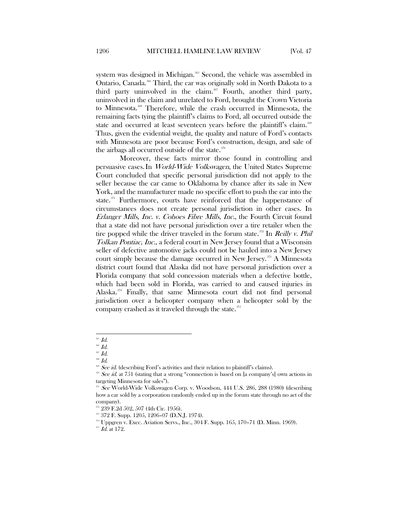system was designed in Michigan.<sup>[365](#page-43-0)</sup> Second, the vehicle was assembled in Ontario, Canada.[366](#page-43-1) Third, the car was originally sold in North Dakota to a third party uninvolved in the claim.<sup>[367](#page-43-2)</sup> Fourth, another third party, uninvolved in the claim and unrelated to Ford, brought the Crown Victoria to Minnesota.<sup>[368](#page-43-3)</sup> Therefore, while the crash occurred in Minnesota, the remaining facts tying the plaintiff's claims to Ford, all occurred outside the state and occurred at least seventeen years before the plaintiff's claim.<sup>366</sup> Thus, given the evidential weight, the quality and nature of Ford's contacts with Minnesota are poor because Ford's construction, design, and sale of the airbags all occurred outside of the state.<sup>[370](#page-43-5)</sup>

Moreover, these facts mirror those found in controlling and persuasive cases.In World-Wide Volkswagen, the United States Supreme Court concluded that specific personal jurisdiction did not apply to the seller because the car came to Oklahoma by chance after its sale in New York, and the manufacturer made no specific effort to push the car into the state. $371$  Furthermore, courts have reinforced that the happenstance of circumstances does not create personal jurisdiction in other cases. In Erlanger Mills, Inc. v. Cohoes Fibre Mills, Inc., the Fourth Circuit found that a state did not have personal jurisdiction over a tire retailer when the tire popped while the driver traveled in the forum state.<sup>[372](#page-43-7)</sup> In *Reilly v. Phil* Tolkan Pontiac, Inc., a federal court in New Jersey found that a Wisconsin seller of defective automotive jacks could not be hauled into a New Jersey court simply because the damage occurred in New Jersey.<sup>[373](#page-43-8)</sup> A Minnesota district court found that Alaska did not have personal jurisdiction over a Florida company that sold concession materials when a defective bottle, which had been sold in Florida, was carried to and caused injuries in Alaska.[374](#page-43-9) Finally, that same Minnesota court did not find personal jurisdiction over a helicopter company when a helicopter sold by the company crashed as it traveled through the state.<sup>[375](#page-43-10)</sup>

 $\overline{\phantom{a}}$ <sup>365</sup> Id.

 $366$   $Id.$ 

<span id="page-43-2"></span><span id="page-43-1"></span><span id="page-43-0"></span><sup>367</sup> Id.

<span id="page-43-4"></span><span id="page-43-3"></span><sup>368</sup> Id.

<sup>&</sup>lt;sup>369</sup> See id. (describing Ford's activities and their relation to plaintiff's claims).

<span id="page-43-5"></span><sup>370</sup> See id. at 751 (stating that a strong "connection is based on [a company's] own actions in targeting Minnesota for sales").

<span id="page-43-6"></span><sup>&</sup>lt;sup>371</sup> See World-Wide Volkswagen Corp. v. Woodson, 444 U.S. 286, 288 (1980) (describing how a car sold by a corporation randomly ended up in the forum state through no act of the company).

<span id="page-43-7"></span> $372$  239 F.2d 502, 507 (4th Cir. 1956).

<sup>373</sup> 372 F. Supp. 1205, 1206–07 (D.N.J. 1974).

<span id="page-43-9"></span><span id="page-43-8"></span><sup>374</sup> Uppgren v. Exec. Aviation Servs., Inc., 304 F. Supp. 165, 170–71 (D. Minn. 1969).

<span id="page-43-10"></span> $375$  *Id.* at 172.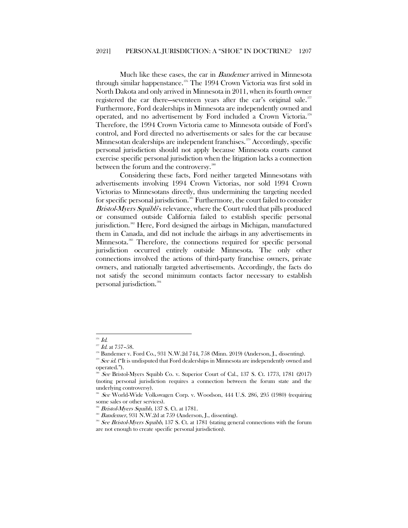Much like these cases, the car in Bandemer arrived in Minnesota through similar happenstance.<sup>[376](#page-44-0)</sup> The 1994 Crown Victoria was first sold in North Dakota and only arrived in Minnesota in 2011, when its fourth owner registered the car there—seventeen years after the car's original sale.<sup>[377](#page-44-1)</sup> Furthermore, Ford dealerships in Minnesota are independently owned and operated, and no advertisement by Ford included a Crown Victoria.<sup>[378](#page-44-2)</sup> Therefore, the 1994 Crown Victoria came to Minnesota outside of Ford's control, and Ford directed no advertisements or sales for the car because Minnesotan dealerships are independent franchises.<sup>[379](#page-44-3)</sup> Accordingly, specific personal jurisdiction should not apply because Minnesota courts cannot exercise specific personal jurisdiction when the litigation lacks a connection between the forum and the controversy.<sup>[380](#page-44-4)</sup>

Considering these facts, Ford neither targeted Minnesotans with advertisements involving 1994 Crown Victorias, nor sold 1994 Crown Victorias to Minnesotans directly, thus undermining the targeting needed for specific personal jurisdiction.<sup>[381](#page-44-5)</sup> Furthermore, the court failed to consider Bristol-Myers Squibb's relevance, where the Court ruled that pills produced or consumed outside California failed to establish specific personal jurisdiction.<sup>[382](#page-44-6)</sup> Here, Ford designed the airbags in Michigan, manufactured them in Canada, and did not include the airbags in any advertisements in Minnesota.[383](#page-44-7) Therefore, the connections required for specific personal jurisdiction occurred entirely outside Minnesota. The only other connections involved the actions of third-party franchise owners, private owners, and nationally targeted advertisements. Accordingly, the facts do not satisfy the second minimum contacts factor necessary to establish personal jurisdiction.<sup>[384](#page-44-8)</sup>

 $\overline{\phantom{a}}$ 

<span id="page-44-0"></span> $\frac{376}{377}$  *Id.* at 757–58.

 $378$  Bandemer v. Ford Co., 931 N.W.2d 744, 758 (Minn. 2019) (Anderson, J., dissenting).

<span id="page-44-4"></span><span id="page-44-3"></span><span id="page-44-2"></span><span id="page-44-1"></span> $329$  See id. ("It is undisputed that Ford dealerships in Minnesota are independently owned and operated.").

See Bristol-Myers Squibb Co. v. Superior Court of Cal., 137 S. Ct. 1773, 1781 (2017) (noting personal jurisdiction requires a connection between the forum state and the underlying controversy).

<span id="page-44-6"></span><span id="page-44-5"></span>See World-Wide Volkswagen Corp. v. Woodson, 444 U.S. 286, 295 (1980) (requiring some sales or other services).

Bristol-Myers Squibb, 137 S. Ct. at 1781.

Bandemer, 931 N.W.2d at 759 (Anderson, J., dissenting).

<span id="page-44-8"></span><span id="page-44-7"></span><sup>&</sup>lt;sup>384</sup> See Bristol-Myers Squibb, 137 S. Ct. at 1781 (stating general connections with the forum are not enough to create specific personal jurisdiction).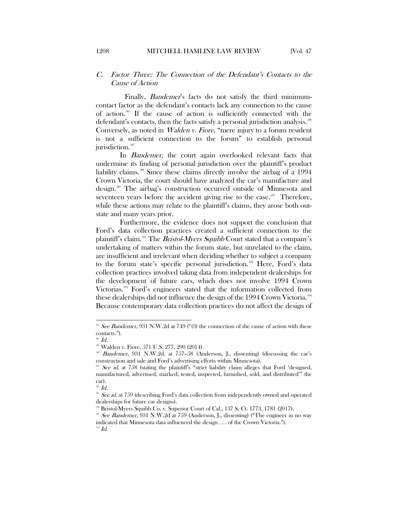<span id="page-45-0"></span>Finally, *Bandemer's* facts do not satisfy the third minimumcontact factor as the defendant's contacts lack any connection to the cause of action.[385](#page-45-1) If the cause of action is sufficiently connected with the defendant's contacts, then the facts satisfy a personal jurisdiction analysis.<sup>[386](#page-45-2)</sup> Conversely, as noted in Walden v. Fiore, "mere injury to a forum resident is not a sufficient connection to the forum" to establish personal jurisdiction.<sup>[387](#page-45-3)</sup>

In Bandemer, the court again overlooked relevant facts that undermine its finding of personal jurisdiction over the plaintiff's product liability claims.<sup>[388](#page-45-4)</sup> Since these claims directly involve the airbag of a 1994 Crown Victoria, the court should have analyzed the car's manufacture and design.[389](#page-45-5) The airbag's construction occurred outside of Minnesota and seventeen years before the accident giving rise to the case.<sup>[390](#page-45-6)</sup> Therefore, while these actions may relate to the plaintiff's claims, they arose both outstate and many years prior.

Furthermore, the evidence does not support the conclusion that Ford's data collection practices created a sufficient connection to the plaintiff's claim.<sup>[391](#page-45-7)</sup> The *Bristol-Myers Squibb* Court stated that a company's undertaking of matters within the forum state, but unrelated to the claim, are insufficient and irrelevant when deciding whether to subject a company to the forum state's specific personal jurisdiction.<sup>[392](#page-45-8)</sup> Here, Ford's data collection practices involved taking data from independent dealerships for the development of future cars, which does not involve 1994 Crown Victorias.[393](#page-45-9) Ford's engineers stated that the information collected from these dealerships did not influence the design of the 1994 Crown Victoria.<sup>[394](#page-45-10)</sup> Because contemporary data collection practices do not affect the design of

<span id="page-45-1"></span><sup>&</sup>lt;sup>385</sup> See Bandemer, 931 N.W.2d at 749 ("(3) the connection of the cause of action with these contacts.").

<span id="page-45-2"></span><sup>386</sup> Id.

<sup>387</sup> Walden v. Fiore, 571 U.S. 277, 290 (2014).

<span id="page-45-4"></span><span id="page-45-3"></span><sup>&</sup>lt;sup>388</sup> Bandemer, 931 N.W.2d. at 757–58 (Anderson, J., dissenting) (discussing the car's construction and sale and Ford's advertising efforts within Minnesota).

<span id="page-45-5"></span> $\omega$  *See id.* at 758 (stating the plaintiff's "strict liability claim alleges that Ford 'designed, manufactured, advertised, marked, tested, inspected, furnished, sold, and distributed'" the car).

 $\overline{\mathit{30}}$   $Id.$ 

<span id="page-45-8"></span><span id="page-45-7"></span><span id="page-45-6"></span><sup>&</sup>lt;sup>391</sup> See id. at 759 (describing Ford's data collection from independently owned and operated dealerships for future car designs).

 $3<sup>2</sup>$  Bristol-Myers Squibb Co. v. Superior Court of Cal., 137 S. Ct. 1773, 1781 (2017).

<span id="page-45-10"></span><span id="page-45-9"></span><sup>&</sup>lt;sup>3</sup> See Bandemer, 931 N.W.2d at 759 (Anderson, J., dissenting) ("The engineer in no way indicated that Minnesota data influenced the design . . . of the Crown Victoria.").

 $^{394}$   $\emph{Id.}$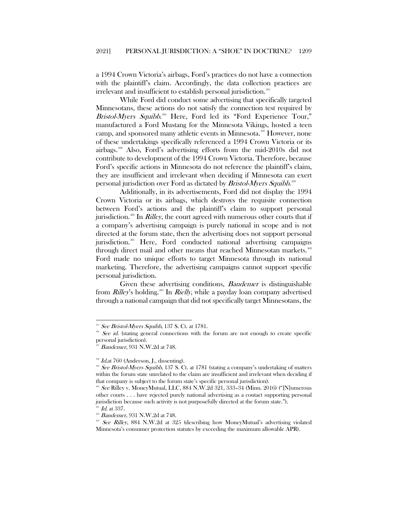a 1994 Crown Victoria's airbags, Ford's practices do not have a connection with the plaintiff's claim. Accordingly, the data collection practices are irrelevant and insufficient to establish personal jurisdiction.<sup>[395](#page-46-0)</sup>

While Ford did conduct some advertising that specifically targeted Minnesotans, these actions do not satisfy the connection test required by Bristol-Myers Squibb.<sup>[396](#page-46-1)</sup> Here, Ford led its "Ford Experience Tour," manufactured a Ford Mustang for the Minnesota Vikings, hosted a teen camp, and sponsored many athletic events in Minnesota.<sup>[397](#page-46-2)</sup> However, none of these undertakings specifically referenced a 1994 Crown Victoria or its airbags.[398](#page-46-3) Also, Ford's advertising efforts from the mid-2010s did not contribute to development of the 1994 Crown Victoria. Therefore, because Ford's specific actions in Minnesota do not reference the plaintiff's claim, they are insufficient and irrelevant when deciding if Minnesota can exert personal jurisdiction over Ford as dictated by *Bristol-Myers Squibb*.<sup>[399](#page-46-4)</sup>

Additionally, in its advertisements, Ford did not display the 1994 Crown Victoria or its airbags, which destroys the requisite connection between Ford's actions and the plaintiff's claim to support personal jurisdiction.<sup>[400](#page-46-5)</sup> In *Rilley*, the court agreed with numerous other courts that if a company's advertising campaign is purely national in scope and is not directed at the forum state, then the advertising does not support personal jurisdiction.<sup>[401](#page-46-6)</sup> Here, Ford conducted national advertising campaigns through direct mail and other means that reached Minnesotan markets.<sup>[402](#page-46-7)</sup> Ford made no unique efforts to target Minnesota through its national marketing. Therefore, the advertising campaigns cannot support specific personal jurisdiction.

Given these advertising conditions, *Bandemer* is distinguishable from *Rilley's* holding.<sup>[403](#page-46-8)</sup> In *Rielly*, while a payday loan company advertised through a national campaign that did not specifically target Minnesotans, the

 $395$  See Bristol-Myers Squibb, 137 S. Ct. at 1781.

<span id="page-46-1"></span><span id="page-46-0"></span><sup>&</sup>lt;sup>396</sup> See id. (stating general connections with the forum are not enough to create specific personal jurisdiction).

Bandemer, 931 N.W.2d at 748.

<span id="page-46-4"></span><span id="page-46-3"></span><span id="page-46-2"></span><sup>&</sup>lt;sup>398</sup> *Id.*at 760 (Anderson, J., dissenting).<br><sup>399</sup> See Bristol-Myers Squibb, 137 S. Ct. at 1781 (stating a company's undertaking of matters within the forum state unrelated to the claim are insufficient and irrelevant when deciding if that company is subject to the forum state's specific personal jurisdiction).

<span id="page-46-5"></span><sup>&</sup>lt;sup>400</sup> See Rilley v. MoneyMutual, LLC, 884 N.W.2d 321, 333-34 (Minn. 2016) ("[N]umerous other courts . . . have rejected purely national advertising as a contact supporting personal jurisdiction because such activity is not purposefully directed at the forum state.").

 $^{401}$  *Id.* at 337.

<span id="page-46-6"></span><sup>402</sup> Bandemer, 931 N.W.2d at 748.

<span id="page-46-8"></span><span id="page-46-7"></span><sup>403</sup> See Rilley, 884 N.W.2d at 325 (describing how MoneyMutual's advertising violated Minnesota's consumer protection statutes by exceeding the maximum allowable APR).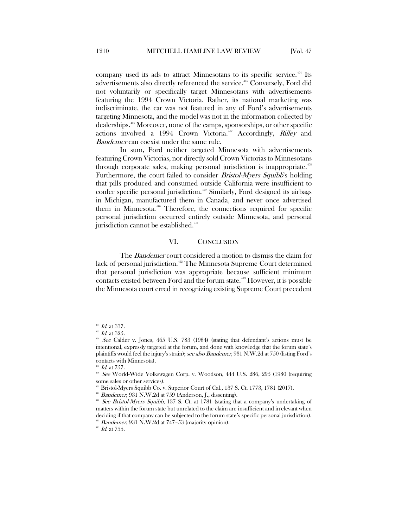company used its ads to attract Minnesotans to its specific service.<sup> $404$ </sup> Its advertisements also directly referenced the service.<sup>[405](#page-47-2)</sup> Conversely, Ford did not voluntarily or specifically target Minnesotans with advertisements featuring the 1994 Crown Victoria. Rather, its national marketing was indiscriminate, the car was not featured in any of Ford's advertisements targeting Minnesota, and the model was not in the information collected by dealerships.[406](#page-47-3) Moreover, none of the camps, sponsorships, or other specific actions involved a 1994 Crown Victoria.<sup>407</sup> Accordingly, Rilley and Bandemer can coexist under the same rule.

In sum, Ford neither targeted Minnesota with advertisements featuring Crown Victorias, nor directly sold Crown Victorias to Minnesotans through corporate sales, making personal jurisdiction is inappropriate.<sup>[408](#page-47-5)</sup> Furthermore, the court failed to consider *Bristol-Myers Squibb's* holding that pills produced and consumed outside California were insufficient to confer specific personal jurisdiction.<sup>[409](#page-47-6)</sup> Similarly, Ford designed its airbags in Michigan, manufactured them in Canada, and never once advertised them in Minnesota.<sup>[410](#page-47-7)</sup> Therefore, the connections required for specific personal jurisdiction occurred entirely outside Minnesota, and personal jurisdiction cannot be established.<sup>[411](#page-47-8)</sup>

#### VI. CONCLUSION

<span id="page-47-0"></span>The *Bandemer* court considered a motion to dismiss the claim for lack of personal jurisdiction.<sup>[412](#page-47-9)</sup> The Minnesota Supreme Court determined that personal jurisdiction was appropriate because sufficient minimum contacts existed between Ford and the forum state.<sup>[413](#page-47-10)</sup> However, it is possible the Minnesota court erred in recognizing existing Supreme Court precedent

 $404$  *Id.* at 337.

<span id="page-47-2"></span><span id="page-47-1"></span> $^{405}$  *Id.* at 325.

<span id="page-47-3"></span><sup>&</sup>lt;sup>466</sup> See Calder v. Jones, 465 U.S. 783 (1984) (stating that defendant's actions must be intentional, expressly targeted at the forum, and done with knowledge that the forum state's plaintiffs would feel the injury's strain); see also Bandemer, 931 N.W.2d at 750 (listing Ford's contacts with Minnesota).

 $407$  *Id.* at 757.

<span id="page-47-5"></span><span id="page-47-4"></span><sup>&</sup>lt;sup>408</sup> See World-Wide Volkswagen Corp. v. Woodson, 444 U.S. 286, 295 (1980 (requiring some sales or other services).

<span id="page-47-6"></span>Bristol-Myers Squibb Co. v. Superior Court of Cal., 137 S. Ct. 1773, 1781 (2017).

<sup>&</sup>lt;sup>410</sup> Bandemer, 931 N.W.2d at 759 (Anderson, J., dissenting).

<span id="page-47-8"></span><span id="page-47-7"></span> $411$  See Bristol-Myers Squibb, 137 S. Ct. at 1781 (stating that a company's undertaking of matters within the forum state but unrelated to the claim are insufficient and irrelevant when deciding if that company can be subjected to the forum state's specific personal jurisdiction).  $412$  Bandemer, 931 N.W.2d at 747-53 (majority opinion).

<span id="page-47-10"></span><span id="page-47-9"></span> $^{413}$   $\emph{Id.}$  at 755.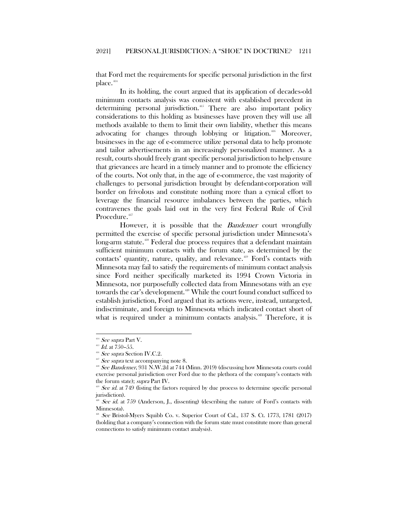that Ford met the requirements for specific personal jurisdiction in the first place. $^\mathrm{414}$  $^\mathrm{414}$  $^\mathrm{414}$ 

In its holding, the court argued that its application of decades-old minimum contacts analysis was consistent with established precedent in determining personal jurisdiction.<sup>[415](#page-48-1)</sup> There are also important policy considerations to this holding as businesses have proven they will use all methods available to them to limit their own liability, whether this means advocating for changes through lobbying or litigation.<sup>[416](#page-48-2)</sup> Moreover, businesses in the age of e-commerce utilize personal data to help promote and tailor advertisements in an increasingly personalized manner. As a result, courts should freely grant specific personal jurisdiction to help ensure that grievances are heard in a timely manner and to promote the efficiency of the courts. Not only that, in the age of e-commerce, the vast majority of challenges to personal jurisdiction brought by defendant-corporation will border on frivolous and constitute nothing more than a cynical effort to leverage the financial resource imbalances between the parties, which contravenes the goals laid out in the very first Federal Rule of Civil Procedure.<sup>[417](#page-48-3)</sup>

However, it is possible that the *Bandemer* court wrongfully permitted the exercise of specific personal jurisdiction under Minnesota's long-arm statute.<sup>[418](#page-48-4)</sup> Federal due process requires that a defendant maintain sufficient minimum contacts with the forum state, as determined by the contacts' quantity, nature, quality, and relevance.<sup>[419](#page-48-5)</sup> Ford's contacts with Minnesota may fail to satisfy the requirements of minimum contact analysis since Ford neither specifically marketed its 1994 Crown Victoria in Minnesota, nor purposefully collected data from Minnesotans with an eye towards the car's development.<sup>[420](#page-48-6)</sup> While the court found conduct sufficed to establish jurisdiction, Ford argued that its actions were, instead, untargeted, indiscriminate, and foreign to Minnesota which indicated contact short of what is required under a minimum contacts analysis.<sup> $421$ </sup> Therefore, it is

<span id="page-48-1"></span><span id="page-48-0"></span><sup>&</sup>lt;sup>414</sup> See supra Part V.

 $^{415}$  *Id.* at 750-55.

<sup>&</sup>lt;sup>416</sup> See supra Section IV.C.2.

 $417$  See supra text accompanying note 8.

<span id="page-48-4"></span><span id="page-48-3"></span><span id="page-48-2"></span> $418$  See Bandemer, 931 N.W.2d at 744 (Minn. 2019) (discussing how Minnesota courts could exercise personal jurisdiction over Ford due to the plethora of the company's contacts with the forum state); supra Part IV.

<span id="page-48-5"></span> $419$  See id. at 749 (listing the factors required by due process to determine specific personal jurisdiction).

<span id="page-48-6"></span>See id. at 759 (Anderson, J., dissenting) (describing the nature of Ford's contacts with Minnesota).

<span id="page-48-7"></span> $221$  See Bristol-Myers Squibb Co. v. Superior Court of Cal., 137 S. Ct. 1773, 1781 (2017) (holding that a company's connection with the forum state must constitute more than general connections to satisfy minimum contact analysis).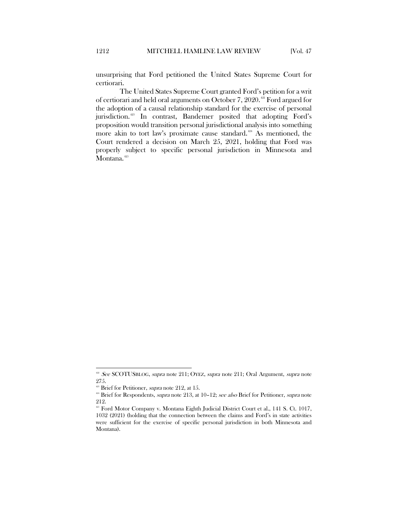unsurprising that Ford petitioned the United States Supreme Court for certiorari.

The United States Supreme Court granted Ford's petition for a writ of certiorari and held oral arguments on October 7, 2020.<sup>[422](#page-49-0)</sup> Ford argued for the adoption of a causal relationship standard for the exercise of personal jurisdiction.<sup>[423](#page-49-1)</sup> In contrast, Bandemer posited that adopting Ford's proposition would transition personal jurisdictional analysis into something more akin to tort law's proximate cause standard.<sup>[424](#page-49-2)</sup> As mentioned, the Court rendered a decision on March 25, 2021, holding that Ford was properly subject to specific personal jurisdiction in Minnesota and Montana.  $^{425}$  $^{425}$  $^{425}$ 

<span id="page-49-2"></span><span id="page-49-1"></span><span id="page-49-0"></span> $422$  See SCOTUSBLOG, supra note [211;](#page-22-12) OYEZ, supra note [211;](#page-22-12) Oral Argument, supra note 275.<br><sup>428</sup> Brief for Petitioner, *supra* note [212,](#page-22-3) at 15.

<span id="page-49-3"></span><sup>&</sup>lt;sup>424</sup> Brief for Respondents, *supra* note [213,](#page-22-11) at 10-12; see also Brief for Petitioner, supra note 212.<br><sup>425</sup> Ford Motor Company v. Montana Eighth Judicial District Court et al., 141 S. Ct. 1017,

<sup>1032 (2021) (</sup>holding that the connection between the claims and Ford's in state activities were sufficient for the exercise of specific personal jurisdiction in both Minnesota and Montana).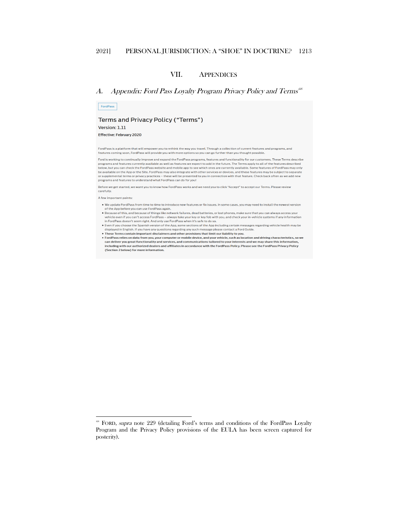#### VII. APPENDICES

#### <span id="page-50-1"></span><span id="page-50-0"></span>A. Appendix: Ford Pass Loyalty Program Privacy Policy and Terms $^{426}$  $^{426}$  $^{426}$

Terms and Privacy Policy ("Terms") Version: 1.11

Effective: February 2020

FordPass

FordPass is a platform that will empower you to rethink the way you travel. Through a collection of current features and programs, and features coming soon, FordPass will provide you with more options so you can go further than you thought possible.

Ford is working to continually improve and expand the FordPass programs, features and functionality for our customers. These Terms describe For a momentum continuous control and the state of the state of the future. The Terms apply to all of the features described<br>below, but you can check the FordPass website and mobile app to see which ones are currently avai be available on the App or the Sire. FordPass may also integrate with other services or devices, and these features may be subject to separate<br>or supplemental terms or privacy practices – these will be presented to you in

Before we get started, we want you to know how FordPass works and we need you to click "Accept" to accept our Terms. Please review carefully.

A few important points:

- . We update FordPass from time to time to introduce new features or fix issues. In some cases, you may need to install the newest version of the App before you can use FordPass again.<br>• Because of this, and because of things like network failures, dead batteries, or lost phones, make sure that you can always access your
- vehicle even if you can't access FordPass always take your key or key fob with you, and check your in-vehicle systems if any information in FordPass doesn't seem right. And only use FordPass when it's safe to do so.<br>• Even if you choose the Spanish version of the App, some sections of the App including certain messages regarding vehicle health may be
- displayed in English. If you have any questions regarding any such message please contact a Ford Guide.
- These Terms contain important disclaimers and other provisions that limit our liability to you.<br>• These Terms contain important disclaimers and other provisions that limit our liability to you.<br>• FordPass relies on data fr
- can deliver you great functionality and services, and communications tailored to your interests and we may share this information, including with our authorized dealers and affiliates in accordance with the FordPass Policy. Please see the FordPass Privacy Policy (Section 2 below) for more information.

<span id="page-50-2"></span><sup>&</sup>lt;sup>426</sup> FORD, *supra* note 229 (detailing Ford's terms and conditions of the FordPass Loyalty Program and the Privacy Policy provisions of the EULA has been screen captured for posterity).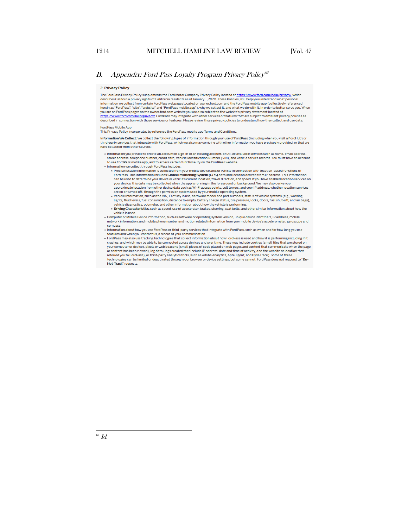#### <span id="page-51-0"></span>B. Appendix: Ford Pass Loyalty Program Privacy Policy<sup>[427](#page-51-1)</sup>

#### 2. Privacy Policy

The FordPass Privacy Policy supplements the Ford Motor Company Privacy Policy located at https://www.ford.com/help/privacy/. which<br>describes California privacy rights of California residents as of January 1, 2020. These Po Information we collect from certain FordPass webpages located on owner ford.com and the FordPass mobile app (collectively referenced<br>herein as "FordPass", "site", "website" and "FordPass mobile app"), why we collect it, an you are on FordPass pages on the owner, ford.com website you are also subject to the website's privacy statement located at .<br><u>https://www.ford.com/help/privacy/</u>. FordPass may integrate with other services or features that are subject to different privacy policies as described in connection with those services or features. Please review those privacy policies to understand how they collect and use data.

**FordPass Mobile App** 

Information We Collect: We collect the following types of information through your use of FordPass (including when you visit a FordHub) or third-party services that integrate with FordPass, which we also may combine with other information you have previously provided, or that we<br>third-party services that integrate with FordPass, which we also may combine with have collected from other sources:

- · Information you provide to create an account or sign-in to an existing account, or utilize available services such as name, email address, street address, telephone number, credit card. Vehicle Identification Number (VIN), and vehicle service records. You must have an account to use FordPass mobile app, and to access certain functionality on the FordPass website.
- . Information we collect through FordPass includes:
	- Precise location information is collected from your mobile device and/or vehicle in connection with location-based functions of FordPass. This information includes Global Positioning System (GPS) data and location derived from IP address. This information can be used to determine your device or vehicle's current location, travel direction, and speed. If you have enabled location services on<br>your device, this data may be collected when the app is running in the foreground or approximate location from other device data such as Wi-Fi access points, cell towers, and your IP address, whether location services
	- are on or turned off, through the permission system used by your mobile operating system.<br>The control of the permission system used by your mobile operating system.<br>• Vehicle Information, such as the VIN, ID of key in use,
	- lights, fluid levels, fuel consumption, distance to empty, battery charge status, tire pressure, locks, doors, fuel shut-off, and air bags),<br>vehicle diagnostics, odometer, and other information about how the vehicle is per · Driving Characteristics, such as speed, use of accelerator, brakes, steering, seat belts, and other similar information about how the
- vehicle is used. · Computer or Mobile Device Information, such as software or operating system version, unique device identifiers, IP address, mobile network information, and mobile phone number and motion related information from your mobile device's accelerometer, gyroscope and
- compass. . Information about how you use FordPass or third-party services that integrate with FordPass, such as when and for how long you use
- features and when you contact us, a record of your communication.
- . FordPass may also use tracking technologies that collect information about how FordPass is used and how it is performing including if it crashes, and which may be able to be connected across devices and over time. These may include cookies (small files that are stored on<br>your computer or device), pixels or web beacons (small pieces of code placed on web pag or content has been viewed), log data (logs created that include IP address, date and time of activity, and the website or location that referred you to FordPass), or third-party analytics tools, such as Adobe Analytics, Aptelligent, and DynaTrace). Some of these technologies can be limited or deactivated through your browser or device settings, but some cannot. FordPass does not respond to "Do-Not-Track" requests.

<span id="page-51-1"></span> $427$   $Id.$